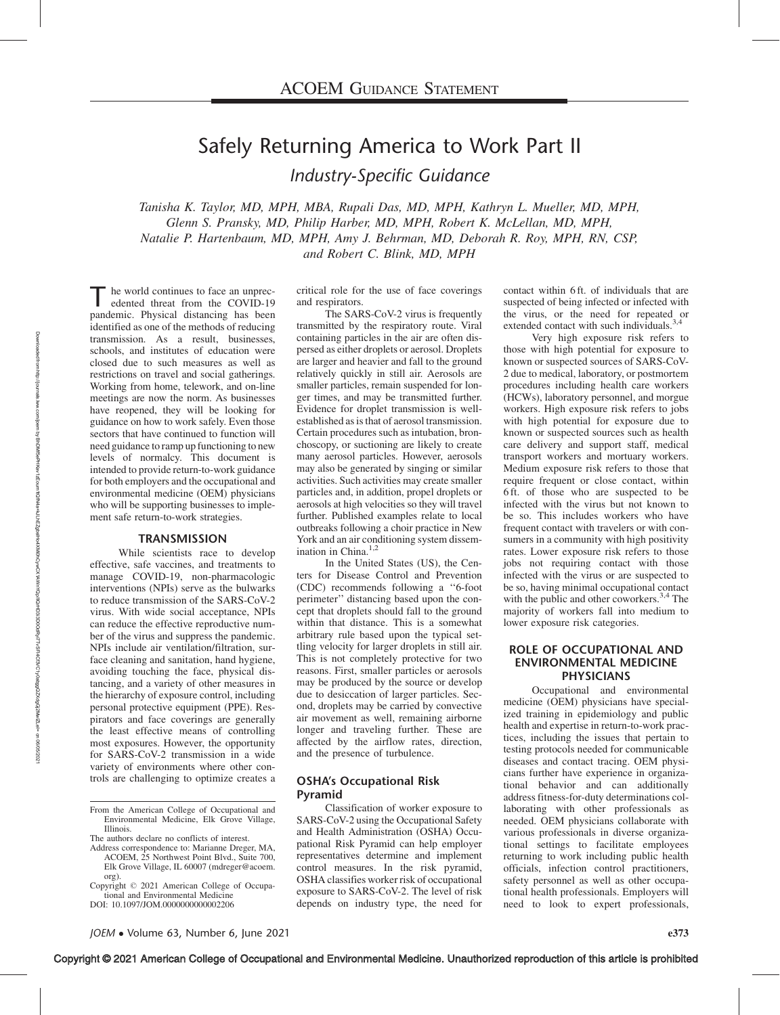# Safely Returning America to Work Part II

Industry-Specific Guidance

Tanisha K. Taylor, MD, MPH, MBA, Rupali Das, MD, MPH, Kathryn L. Mueller, MD, MPH, Glenn S. Pransky, MD, Philip Harber, MD, MPH, Robert K. McLellan, MD, MPH, Natalie P. Hartenbaum, MD, MPH, Amy J. Behrman, MD, Deborah R. Roy, MPH, RN, CSP, and Robert C. Blink, MD, MPH

The world continues to face an unprecedented threat from the COVID-19 pandemic. Physical distancing has been identified as one of the methods of reducing transmission. As a result, businesses, schools, and institutes of education were closed due to such measures as well as restrictions on travel and social gatherings. Working from home, telework, and on-line meetings are now the norm. As businesses have reopened, they will be looking for guidance on how to work safely. Even those sectors that have continued to function will need guidance to ramp up functioning to new levels of normalcy. This document is intended to provide return-to-work guidance for both employers and the occupational and environmental medicine (OEM) physicians who will be supporting businesses to implement safe return-to-work strategies.

### **TRANSMISSION**

While scientists race to develop effective, safe vaccines, and treatments to manage COVID-19, non-pharmacologic interventions (NPIs) serve as the bulwarks to reduce transmission of the SARS-CoV-2 virus. With wide social acceptance, NPIs can reduce the effective reproductive number of the virus and suppress the pandemic. NPIs include air ventilation/filtration, surface cleaning and sanitation, hand hygiene, avoiding touching the face, physical distancing, and a variety of other measures in the hierarchy of exposure control, including personal protective equipment (PPE). Respirators and face coverings are generally the least effective means of controlling most exposures. However, the opportunity for SARS-CoV-2 transmission in a wide variety of environments where other controls are challenging to optimize creates a critical role for the use of face coverings and respirators.

The SARS-CoV-2 virus is frequently transmitted by the respiratory route. Viral containing particles in the air are often dispersed as either droplets or aerosol. Droplets are larger and heavier and fall to the ground relatively quickly in still air. Aerosols are smaller particles, remain suspended for longer times, and may be transmitted further. Evidence for droplet transmission is wellestablished as is that of aerosol transmission. Certain procedures such as intubation, bronchoscopy, or suctioning are likely to create many aerosol particles. However, aerosols may also be generated by singing or similar activities. Such activities may create smaller particles and, in addition, propel droplets or aerosols at high velocities so they will travel further. Published examples relate to local outbreaks following a choir practice in New York and an air conditioning system dissemination in China. $1,2$ 

In the United States (US), the Centers for Disease Control and Prevention (CDC) recommends following a ''6-foot perimeter'' distancing based upon the concept that droplets should fall to the ground within that distance. This is a somewhat arbitrary rule based upon the typical settling velocity for larger droplets in still air. This is not completely protective for two reasons. First, smaller particles or aerosols may be produced by the source or develop due to desiccation of larger particles. Second, droplets may be carried by convective air movement as well, remaining airborne longer and traveling further. These are affected by the airflow rates, direction, and the presence of turbulence.

#### OSHA's Occupational Risk Pyramid

Classification of worker exposure to SARS-CoV-2 using the Occupational Safety and Health Administration (OSHA) Occupational Risk Pyramid can help employer representatives determine and implement control measures. In the risk pyramid, OSHA classifies worker risk of occupational exposure to SARS-CoV-2. The level of risk depends on industry type, the need for

contact within 6 ft. of individuals that are suspected of being infected or infected with the virus, or the need for repeated or extended contact with such individuals.<sup>3,4</sup>

Very high exposure risk refers to those with high potential for exposure to known or suspected sources of SARS-CoV-2 due to medical, laboratory, or postmortem procedures including health care workers (HCWs), laboratory personnel, and morgue workers. High exposure risk refers to jobs with high potential for exposure due to known or suspected sources such as health care delivery and support staff, medical transport workers and mortuary workers. Medium exposure risk refers to those that require frequent or close contact, within 6 ft. of those who are suspected to be infected with the virus but not known to be so. This includes workers who have frequent contact with travelers or with consumers in a community with high positivity rates. Lower exposure risk refers to those jobs not requiring contact with those infected with the virus or are suspected to be so, having minimal occupational contact with the public and other coworkers.<sup>3,4</sup> The majority of workers fall into medium to lower exposure risk categories.

# ROLE OF OCCUPATIONAL AND ENVIRONMENTAL MEDICINE PHYSICIANS

Occupational and environmental medicine (OEM) physicians have specialized training in epidemiology and public health and expertise in return-to-work practices, including the issues that pertain to testing protocols needed for communicable diseases and contact tracing. OEM physicians further have experience in organizational behavior and can additionally address fitness-for-duty determinations collaborating with other professionals as needed. OEM physicians collaborate with various professionals in diverse organizational settings to facilitate employees returning to work including public health officials, infection control practitioners, safety personnel as well as other occupational health professionals. Employers will need to look to expert professionals,

From the American College of Occupational and Environmental Medicine, Elk Grove Village, Illinois.

The authors declare no conflicts of interest.

Address correspondence to: Marianne Dreger, MA, ACOEM, 25 Northwest Point Blvd., Suite 700, Elk Grove Village, IL 60007 [\(mdreger@acoem.](mailto:mdreger@acoem.org) [org](mailto:mdreger@acoem.org)).

Copyright © 2021 American College of Occupational and Environmental Medicine DOI: 10.1097/JOM.0000000000002206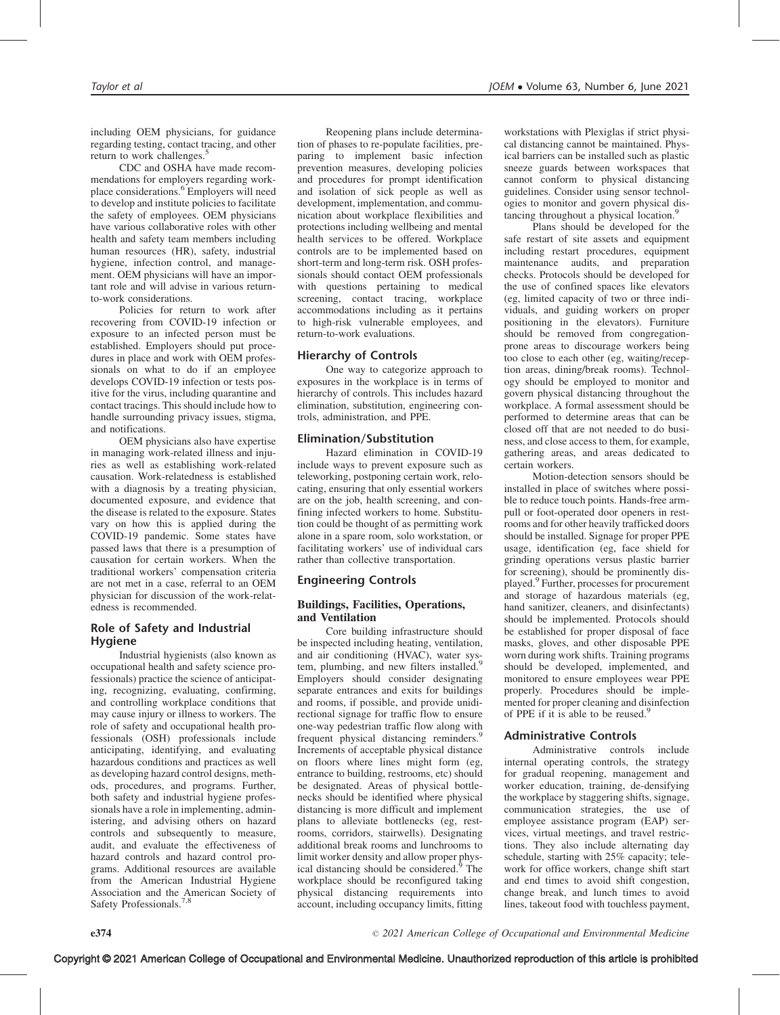including OEM physicians, for guidance regarding testing, contact tracing, and other return to work challenges.<sup>5</sup>

CDC and OSHA have made recommendations for employers regarding workplace considerations.<sup>6</sup> Employers will need to develop and institute policies to facilitate the safety of employees. OEM physicians have various collaborative roles with other health and safety team members including human resources (HR), safety, industrial hygiene, infection control, and management. OEM physicians will have an important role and will advise in various returnto-work considerations.

Policies for return to work after recovering from COVID-19 infection or exposure to an infected person must be established. Employers should put procedures in place and work with OEM professionals on what to do if an employee develops COVID-19 infection or tests positive for the virus, including quarantine and contact tracings. This should include how to handle surrounding privacy issues, stigma, and notifications.

OEM physicians also have expertise in managing work-related illness and injuries as well as establishing work-related causation. Work-relatedness is established with a diagnosis by a treating physician, documented exposure, and evidence that the disease is related to the exposure. States vary on how this is applied during the COVID-19 pandemic. Some states have passed laws that there is a presumption of causation for certain workers. When the traditional workers' compensation criteria are not met in a case, referral to an OEM physician for discussion of the work-relatedness is recommended.

# Role of Safety and Industrial Hygiene

Industrial hygienists (also known as occupational health and safety science professionals) practice the science of anticipating, recognizing, evaluating, confirming, and controlling workplace conditions that may cause injury or illness to workers. The role of safety and occupational health professionals (OSH) professionals include anticipating, identifying, and evaluating hazardous conditions and practices as well as developing hazard control designs, methods, procedures, and programs. Further, both safety and industrial hygiene professionals have a role in implementing, administering, and advising others on hazard controls and subsequently to measure, audit, and evaluate the effectiveness of hazard controls and hazard control programs. Additional resources are available from the American Industrial Hygiene Association and the American Society of Safety Professionals.

Reopening plans include determination of phases to re-populate facilities, preparing to implement basic infection prevention measures, developing policies and procedures for prompt identification and isolation of sick people as well as development, implementation, and communication about workplace flexibilities and protections including wellbeing and mental health services to be offered. Workplace controls are to be implemented based on short-term and long-term risk. OSH professionals should contact OEM professionals with questions pertaining to medical screening, contact tracing, workplace accommodations including as it pertains to high-risk vulnerable employees, and return-to-work evaluations.

# Hierarchy of Controls

One way to categorize approach to exposures in the workplace is in terms of hierarchy of controls. This includes hazard elimination, substitution, engineering controls, administration, and PPE.

## Elimination/Substitution

Hazard elimination in COVID-19 include ways to prevent exposure such as teleworking, postponing certain work, relocating, ensuring that only essential workers are on the job, health screening, and confining infected workers to home. Substitution could be thought of as permitting work alone in a spare room, solo workstation, or facilitating workers' use of individual cars rather than collective transportation.

## Engineering Controls

### Buildings, Facilities, Operations, and Ventilation

Core building infrastructure should be inspected including heating, ventilation, and air conditioning (HVAC), water system, plumbing, and new filters installed.<sup>9</sup> Employers should consider designating separate entrances and exits for buildings and rooms, if possible, and provide unidirectional signage for traffic flow to ensure one-way pedestrian traffic flow along with frequent physical distancing reminders.<sup>9</sup> Increments of acceptable physical distance on floors where lines might form (eg, entrance to building, restrooms, etc) should be designated. Areas of physical bottlenecks should be identified where physical distancing is more difficult and implement plans to alleviate bottlenecks (eg, restrooms, corridors, stairwells). Designating additional break rooms and lunchrooms to limit worker density and allow proper physical distancing should be considered.<sup>9</sup> The workplace should be reconfigured taking physical distancing requirements into account, including occupancy limits, fitting

workstations with Plexiglas if strict physical distancing cannot be maintained. Physical barriers can be installed such as plastic sneeze guards between workspaces that cannot conform to physical distancing guidelines. Consider using sensor technologies to monitor and govern physical distancing throughout a physical location.<sup>9</sup>

Plans should be developed for the safe restart of site assets and equipment including restart procedures, equipment maintenance audits, and preparation checks. Protocols should be developed for the use of confined spaces like elevators (eg, limited capacity of two or three individuals, and guiding workers on proper positioning in the elevators). Furniture should be removed from congregationprone areas to discourage workers being too close to each other (eg, waiting/reception areas, dining/break rooms). Technology should be employed to monitor and govern physical distancing throughout the workplace. A formal assessment should be performed to determine areas that can be closed off that are not needed to do business, and close access to them, for example, gathering areas, and areas dedicated to certain workers.

Motion-detection sensors should be installed in place of switches where possible to reduce touch points. Hands-free armpull or foot-operated door openers in restrooms and for other heavily trafficked doors should be installed. Signage for proper PPE usage, identification (eg, face shield for grinding operations versus plastic barrier for screening), should be prominently displayed.<sup>9</sup> Further, processes for procurement and storage of hazardous materials (eg, hand sanitizer, cleaners, and disinfectants) should be implemented. Protocols should be established for proper disposal of face masks, gloves, and other disposable PPE worn during work shifts. Training programs should be developed, implemented, and monitored to ensure employees wear PPE properly. Procedures should be implemented for proper cleaning and disinfection of PPE if it is able to be reused.<sup>9</sup>

## Administrative Controls

Administrative controls include internal operating controls, the strategy for gradual reopening, management and worker education, training, de-densifying the workplace by staggering shifts, signage, communication strategies, the use of employee assistance program (EAP) services, virtual meetings, and travel restrictions. They also include alternating day schedule, starting with 25% capacity; telework for office workers, change shift start and end times to avoid shift congestion, change break, and lunch times to avoid lines, takeout food with touchless payment,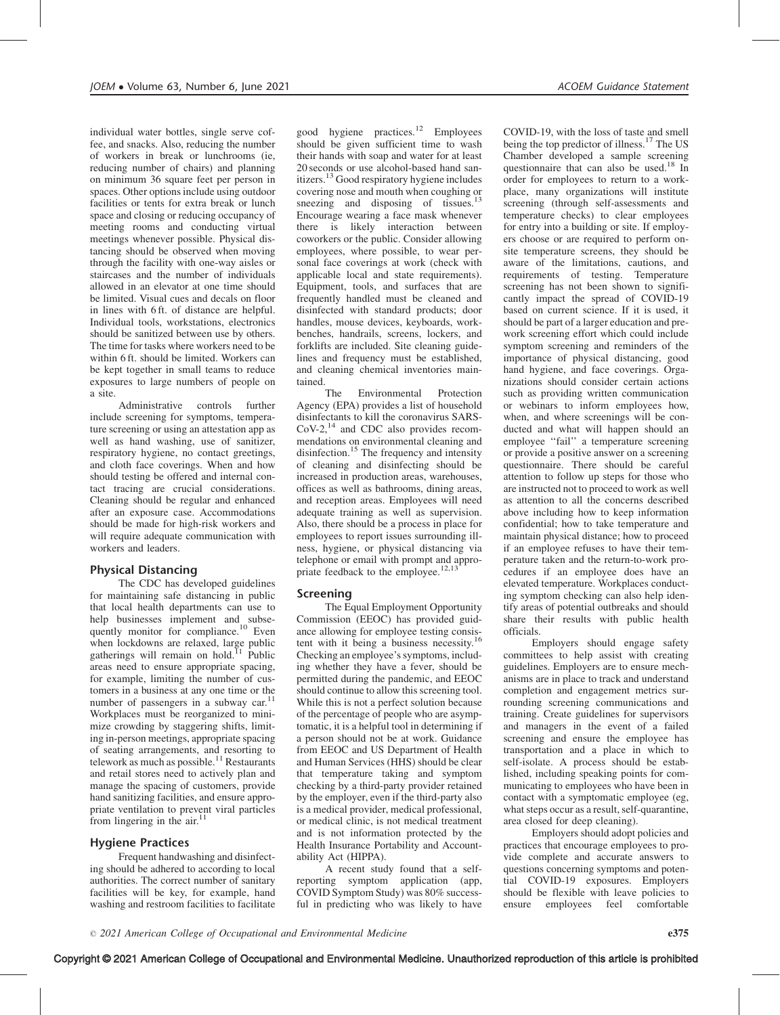individual water bottles, single serve coffee, and snacks. Also, reducing the number of workers in break or lunchrooms (ie, reducing number of chairs) and planning on minimum 36 square feet per person in spaces. Other options include using outdoor facilities or tents for extra break or lunch space and closing or reducing occupancy of meeting rooms and conducting virtual meetings whenever possible. Physical distancing should be observed when moving through the facility with one-way aisles or staircases and the number of individuals allowed in an elevator at one time should be limited. Visual cues and decals on floor in lines with 6 ft. of distance are helpful. Individual tools, workstations, electronics should be sanitized between use by others. The time for tasks where workers need to be within 6 ft. should be limited. Workers can be kept together in small teams to reduce exposures to large numbers of people on a site.

Administrative controls further include screening for symptoms, temperature screening or using an attestation app as well as hand washing, use of sanitizer, respiratory hygiene, no contact greetings, and cloth face coverings. When and how should testing be offered and internal contact tracing are crucial considerations. Cleaning should be regular and enhanced after an exposure case. Accommodations should be made for high-risk workers and will require adequate communication with workers and leaders.

# Physical Distancing

The CDC has developed guidelines for maintaining safe distancing in public that local health departments can use to help businesses implement and subsequently monitor for compliance.<sup>10</sup> Even when lockdowns are relaxed, large public gatherings will remain on hold.<sup>11</sup> Public areas need to ensure appropriate spacing, for example, limiting the number of customers in a business at any one time or the number of passengers in a subway car.<sup>1</sup> Workplaces must be reorganized to minimize crowding by staggering shifts, limiting in-person meetings, appropriate spacing of seating arrangements, and resorting to telework as much as possible.<sup>11</sup> Restaurants and retail stores need to actively plan and manage the spacing of customers, provide hand sanitizing facilities, and ensure appropriate ventilation to prevent viral particles from lingering in the air.<sup>11</sup>

## Hygiene Practices

Frequent handwashing and disinfecting should be adhered to according to local authorities. The correct number of sanitary facilities will be key, for example, hand washing and restroom facilities to facilitate

good hygiene practices. $12$  Employees should be given sufficient time to wash their hands with soap and water for at least 20 seconds or use alcohol-based hand sanitizers.<sup>13</sup> Good respiratory hygiene includes covering nose and mouth when coughing or sneezing and disposing of tissues. Encourage wearing a face mask whenever there is likely interaction between coworkers or the public. Consider allowing employees, where possible, to wear personal face coverings at work (check with applicable local and state requirements). Equipment, tools, and surfaces that are frequently handled must be cleaned and disinfected with standard products; door handles, mouse devices, keyboards, workbenches, handrails, screens, lockers, and forklifts are included. Site cleaning guidelines and frequency must be established, and cleaning chemical inventories maintained.

Environmental Protection Agency (EPA) provides a list of household disinfectants to kill the coronavirus SARS- $CoV-2$ ,<sup>14</sup> and CDC also provides recommendations on environmental cleaning and disinfection.<sup>15</sup> The frequency and intensity of cleaning and disinfecting should be increased in production areas, warehouses, offices as well as bathrooms, dining areas, and reception areas. Employees will need adequate training as well as supervision. Also, there should be a process in place for employees to report issues surrounding illness, hygiene, or physical distancing via telephone or email with prompt and appropriate feedback to the employee.<sup>12,1</sup>

## Screening

The Equal Employment Opportunity Commission (EEOC) has provided guidance allowing for employee testing consistent with it being a business necessity.16 Checking an employee's symptoms, including whether they have a fever, should be permitted during the pandemic, and EEOC should continue to allow this screening tool. While this is not a perfect solution because of the percentage of people who are asymptomatic, it is a helpful tool in determining if a person should not be at work. Guidance from EEOC and US Department of Health and Human Services (HHS) should be clear that temperature taking and symptom checking by a third-party provider retained by the employer, even if the third-party also is a medical provider, medical professional, or medical clinic, is not medical treatment and is not information protected by the Health Insurance Portability and Accountability Act (HIPPA).

A recent study found that a selfreporting symptom application (app, COVID Symptom Study) was 80% successful in predicting who was likely to have COVID-19, with the loss of taste and smell being the top predictor of illness.<sup>17</sup> The US Chamber developed a sample screening questionnaire that can also be used.<sup>18</sup> In order for employees to return to a workplace, many organizations will institute screening (through self-assessments and temperature checks) to clear employees for entry into a building or site. If employers choose or are required to perform onsite temperature screens, they should be aware of the limitations, cautions, and requirements of testing. Temperature screening has not been shown to significantly impact the spread of COVID-19 based on current science. If it is used, it should be part of a larger education and prework screening effort which could include symptom screening and reminders of the importance of physical distancing, good hand hygiene, and face coverings. Organizations should consider certain actions such as providing written communication or webinars to inform employees how, when, and where screenings will be conducted and what will happen should an employee ''fail'' a temperature screening or provide a positive answer on a screening questionnaire. There should be careful attention to follow up steps for those who are instructed not to proceed to work as well as attention to all the concerns described above including how to keep information confidential; how to take temperature and maintain physical distance; how to proceed if an employee refuses to have their temperature taken and the return-to-work procedures if an employee does have an elevated temperature. Workplaces conducting symptom checking can also help identify areas of potential outbreaks and should share their results with public health officials.

Employers should engage safety committees to help assist with creating guidelines. Employers are to ensure mechanisms are in place to track and understand completion and engagement metrics surrounding screening communications and training. Create guidelines for supervisors and managers in the event of a failed screening and ensure the employee has transportation and a place in which to self-isolate. A process should be established, including speaking points for communicating to employees who have been in contact with a symptomatic employee (eg, what steps occur as a result, self-quarantine, area closed for deep cleaning).

Employers should adopt policies and practices that encourage employees to provide complete and accurate answers to questions concerning symptoms and potential COVID-19 exposures. Employers should be flexible with leave policies to ensure employees feel comfortable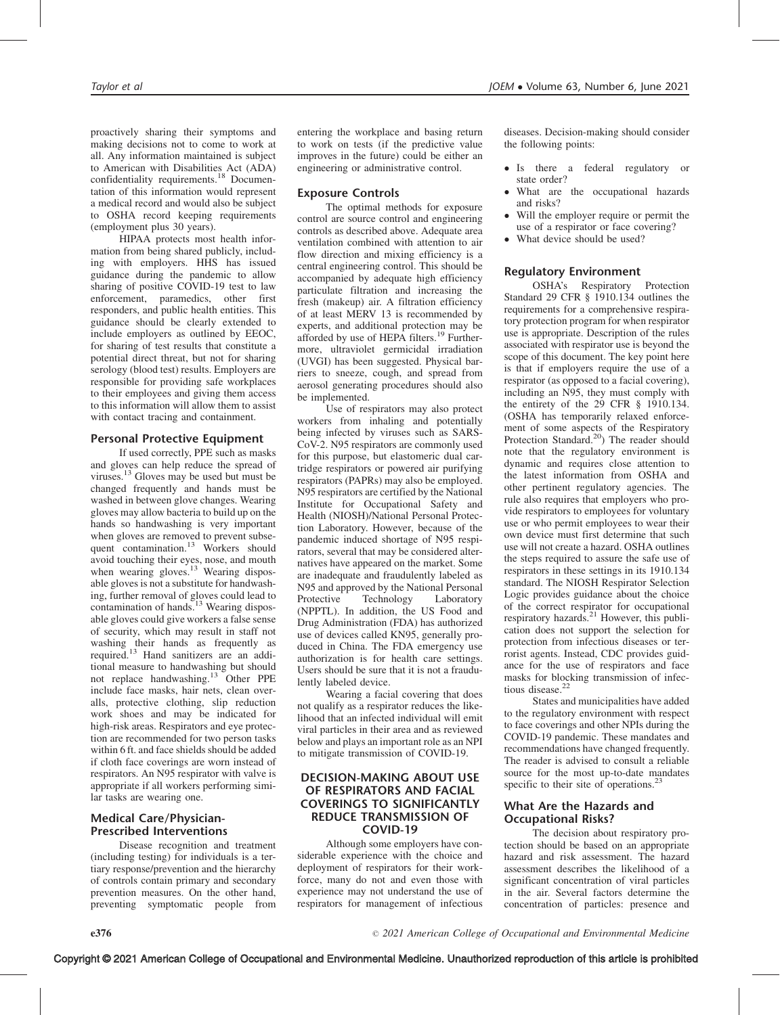proactively sharing their symptoms and making decisions not to come to work at all. Any information maintained is subject to American with Disabilities Act (ADA) confidentiality requirements.<sup>18</sup> Documentation of this information would represent a medical record and would also be subject to OSHA record keeping requirements (employment plus 30 years).

HIPAA protects most health information from being shared publicly, including with employers. HHS has issued guidance during the pandemic to allow sharing of positive COVID-19 test to law enforcement, paramedics, other first responders, and public health entities. This guidance should be clearly extended to include employers as outlined by EEOC, for sharing of test results that constitute a potential direct threat, but not for sharing serology (blood test) results. Employers are responsible for providing safe workplaces to their employees and giving them access to this information will allow them to assist with contact tracing and containment.

# Personal Protective Equipment

If used correctly, PPE such as masks and gloves can help reduce the spread of viruses.<sup>13</sup> Gloves may be used but must be changed frequently and hands must be washed in between glove changes. Wearing gloves may allow bacteria to build up on the hands so handwashing is very important when gloves are removed to prevent subsequent contamination.<sup>13</sup> Workers should avoid touching their eyes, nose, and mouth when wearing gloves.<sup>13</sup> Wearing disposable gloves is not a substitute for handwashing, further removal of gloves could lead to contamination of hands.<sup>13</sup> Wearing disposable gloves could give workers a false sense of security, which may result in staff not washing their hands as frequently as<br>required.<sup>13</sup> Hand sanitizers are an additional measure to handwashing but should not replace handwashing.<sup>13</sup> Other PPE include face masks, hair nets, clean overalls, protective clothing, slip reduction work shoes and may be indicated for high-risk areas. Respirators and eye protection are recommended for two person tasks within 6 ft. and face shields should be added if cloth face coverings are worn instead of respirators. An N95 respirator with valve is appropriate if all workers performing similar tasks are wearing one.

## Medical Care/Physician-Prescribed Interventions

Disease recognition and treatment (including testing) for individuals is a tertiary response/prevention and the hierarchy of controls contain primary and secondary prevention measures. On the other hand, preventing symptomatic people from

entering the workplace and basing return to work on tests (if the predictive value improves in the future) could be either an engineering or administrative control.

## Exposure Controls

The optimal methods for exposure control are source control and engineering controls as described above. Adequate area ventilation combined with attention to air flow direction and mixing efficiency is a central engineering control. This should be accompanied by adequate high efficiency particulate filtration and increasing the fresh (makeup) air. A filtration efficiency of at least MERV 13 is recommended by experts, and additional protection may be afforded by use of HEPA filters.<sup>19</sup> Furthermore, ultraviolet germicidal irradiation (UVGI) has been suggested. Physical barriers to sneeze, cough, and spread from aerosol generating procedures should also be implemented.

Use of respirators may also protect workers from inhaling and potentially being infected by viruses such as SARS-CoV-2. N95 respirators are commonly used for this purpose, but elastomeric dual cartridge respirators or powered air purifying respirators (PAPRs) may also be employed. N95 respirators are certified by the National Institute for Occupational Safety and Health (NIOSH)/National Personal Protection Laboratory. However, because of the pandemic induced shortage of N95 respirators, several that may be considered alternatives have appeared on the market. Some are inadequate and fraudulently labeled as N95 and approved by the National Personal Protective Technology Laboratory (NPPTL). In addition, the US Food and Drug Administration (FDA) has authorized use of devices called KN95, generally produced in China. The FDA emergency use authorization is for health care settings. Users should be sure that it is not a fraudulently labeled device.

Wearing a facial covering that does not qualify as a respirator reduces the likelihood that an infected individual will emit viral particles in their area and as reviewed below and plays an important role as an NPI to mitigate transmission of COVID-19.

## DECISION-MAKING ABOUT USE OF RESPIRATORS AND FACIAL COVERINGS TO SIGNIFICANTLY REDUCE TRANSMISSION OF COVID-19

Although some employers have considerable experience with the choice and deployment of respirators for their workforce, many do not and even those with experience may not understand the use of respirators for management of infectious

diseases. Decision-making should consider the following points:

- Is there a federal regulatory or state order?
- What are the occupational hazards and risks?
- - Will the employer require or permit the use of a respirator or face covering?
- -What device should be used?

## Regulatory Environment

OSHA's Respiratory Protection Standard 29 CFR § 1910.134 outlines the requirements for a comprehensive respiratory protection program for when respirator use is appropriate. Description of the rules associated with respirator use is beyond the scope of this document. The key point here is that if employers require the use of a respirator (as opposed to a facial covering), including an N95, they must comply with the entirety of the 29 CFR § 1910.134. (OSHA has temporarily relaxed enforcement of some aspects of the Respiratory Protection Standard.<sup>20</sup>) The reader should note that the regulatory environment is dynamic and requires close attention to the latest information from OSHA and other pertinent regulatory agencies. The rule also requires that employers who provide respirators to employees for voluntary use or who permit employees to wear their own device must first determine that such use will not create a hazard. OSHA outlines the steps required to assure the safe use of respirators in these settings in its 1910.134 standard. The NIOSH Respirator Selection Logic provides guidance about the choice of the correct respirator for occupational respiratory hazards.<sup>21</sup> However, this publication does not support the selection for protection from infectious diseases or terrorist agents. Instead, CDC provides guidance for the use of respirators and face masks for blocking transmission of infectious disease.<sup>2</sup>

States and municipalities have added to the regulatory environment with respect to face coverings and other NPIs during the COVID-19 pandemic. These mandates and recommendations have changed frequently. The reader is advised to consult a reliable source for the most up-to-date mandates specific to their site of operations.<sup>23</sup>

# What Are the Hazards and Occupational Risks?

The decision about respiratory protection should be based on an appropriate hazard and risk assessment. The hazard assessment describes the likelihood of a significant concentration of viral particles in the air. Several factors determine the concentration of particles: presence and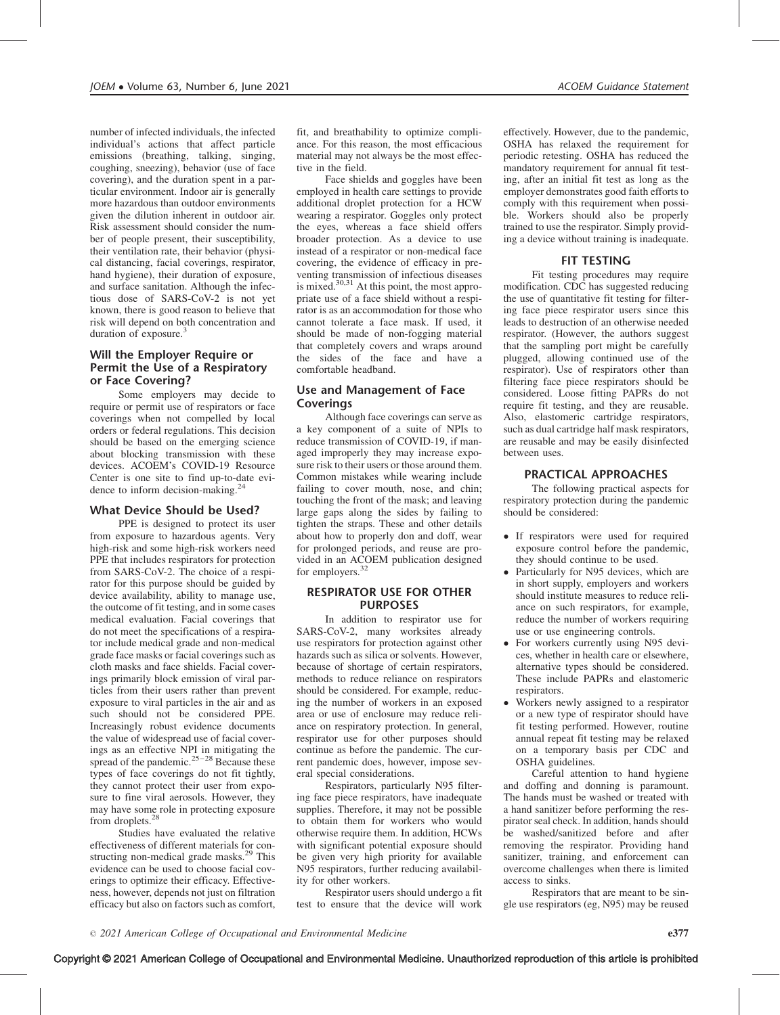number of infected individuals, the infected individual's actions that affect particle emissions (breathing, talking, singing, coughing, sneezing), behavior (use of face covering), and the duration spent in a particular environment. Indoor air is generally more hazardous than outdoor environments given the dilution inherent in outdoor air. Risk assessment should consider the number of people present, their susceptibility, their ventilation rate, their behavior (physical distancing, facial coverings, respirator, hand hygiene), their duration of exposure, and surface sanitation. Although the infectious dose of SARS-CoV-2 is not yet known, there is good reason to believe that risk will depend on both concentration and duration of exposure.<sup>3</sup>

## Will the Employer Require or Permit the Use of a Respiratory or Face Covering?

Some employers may decide to require or permit use of respirators or face coverings when not compelled by local orders or federal regulations. This decision should be based on the emerging science about blocking transmission with these devices. ACOEM's COVID-19 Resource Center is one site to find up-to-date evidence to inform decision-making.<sup>2</sup>

## What Device Should be Used?

PPE is designed to protect its user from exposure to hazardous agents. Very high-risk and some high-risk workers need PPE that includes respirators for protection from SARS-CoV-2. The choice of a respirator for this purpose should be guided by device availability, ability to manage use, the outcome of fit testing, and in some cases medical evaluation. Facial coverings that do not meet the specifications of a respirator include medical grade and non-medical grade face masks or facial coverings such as cloth masks and face shields. Facial coverings primarily block emission of viral particles from their users rather than prevent exposure to viral particles in the air and as such should not be considered PPE. Increasingly robust evidence documents the value of widespread use of facial coverings as an effective NPI in mitigating the spread of the pandemic. $25-28$  Because these types of face coverings do not fit tightly, they cannot protect their user from exposure to fine viral aerosols. However, they may have some role in protecting exposure from droplets.<sup>28</sup>

Studies have evaluated the relative effectiveness of different materials for constructing non-medical grade masks.<sup>29</sup> This evidence can be used to choose facial coverings to optimize their efficacy. Effectiveness, however, depends not just on filtration efficacy but also on factors such as comfort,

fit, and breathability to optimize compliance. For this reason, the most efficacious material may not always be the most effective in the field.

Face shields and goggles have been employed in health care settings to provide additional droplet protection for a HCW wearing a respirator. Goggles only protect the eyes, whereas a face shield offers broader protection. As a device to use instead of a respirator or non-medical face covering, the evidence of efficacy in preventing transmission of infectious diseases is mixed. $30,31$  At this point, the most appropriate use of a face shield without a respirator is as an accommodation for those who cannot tolerate a face mask. If used, it should be made of non-fogging material that completely covers and wraps around the sides of the face and have a comfortable headband.

# Use and Management of Face Coverings

Although face coverings can serve as a key component of a suite of NPIs to reduce transmission of COVID-19, if managed improperly they may increase exposure risk to their users or those around them. Common mistakes while wearing include failing to cover mouth, nose, and chin; touching the front of the mask; and leaving large gaps along the sides by failing to tighten the straps. These and other details about how to properly don and doff, wear for prolonged periods, and reuse are provided in an ACOEM publication designed for employers.<sup>32</sup>

## RESPIRATOR USE FOR OTHER PURPOSES

In addition to respirator use for SARS-CoV-2, many worksites already use respirators for protection against other hazards such as silica or solvents. However, because of shortage of certain respirators, methods to reduce reliance on respirators should be considered. For example, reducing the number of workers in an exposed area or use of enclosure may reduce reliance on respiratory protection. In general, respirator use for other purposes should continue as before the pandemic. The current pandemic does, however, impose several special considerations.

Respirators, particularly N95 filtering face piece respirators, have inadequate supplies. Therefore, it may not be possible to obtain them for workers who would otherwise require them. In addition, HCWs with significant potential exposure should be given very high priority for available N95 respirators, further reducing availability for other workers.

Respirator users should undergo a fit test to ensure that the device will work

effectively. However, due to the pandemic, OSHA has relaxed the requirement for periodic retesting. OSHA has reduced the mandatory requirement for annual fit testing, after an initial fit test as long as the employer demonstrates good faith efforts to comply with this requirement when possible. Workers should also be properly trained to use the respirator. Simply providing a device without training is inadequate.

## FIT TESTING

Fit testing procedures may require modification. CDC has suggested reducing the use of quantitative fit testing for filtering face piece respirator users since this leads to destruction of an otherwise needed respirator. (However, the authors suggest that the sampling port might be carefully plugged, allowing continued use of the respirator). Use of respirators other than filtering face piece respirators should be considered. Loose fitting PAPRs do not require fit testing, and they are reusable. Also, elastomeric cartridge respirators, such as dual cartridge half mask respirators, are reusable and may be easily disinfected between uses.

#### PRACTICAL APPROACHES

The following practical aspects for respiratory protection during the pandemic should be considered:

- If respirators were used for required exposure control before the pandemic, they should continue to be used.
- Particularly for N95 devices, which are in short supply, employers and workers should institute measures to reduce reliance on such respirators, for example, reduce the number of workers requiring use or use engineering controls.
- For workers currently using N95 devices, whether in health care or elsewhere, alternative types should be considered. These include PAPRs and elastomeric respirators.
- - Workers newly assigned to a respirator or a new type of respirator should have fit testing performed. However, routine annual repeat fit testing may be relaxed on a temporary basis per CDC and OSHA guidelines.

Careful attention to hand hygiene and doffing and donning is paramount. The hands must be washed or treated with a hand sanitizer before performing the respirator seal check. In addition, hands should be washed/sanitized before and after removing the respirator. Providing hand sanitizer, training, and enforcement can overcome challenges when there is limited access to sinks.

Respirators that are meant to be single use respirators (eg, N95) may be reused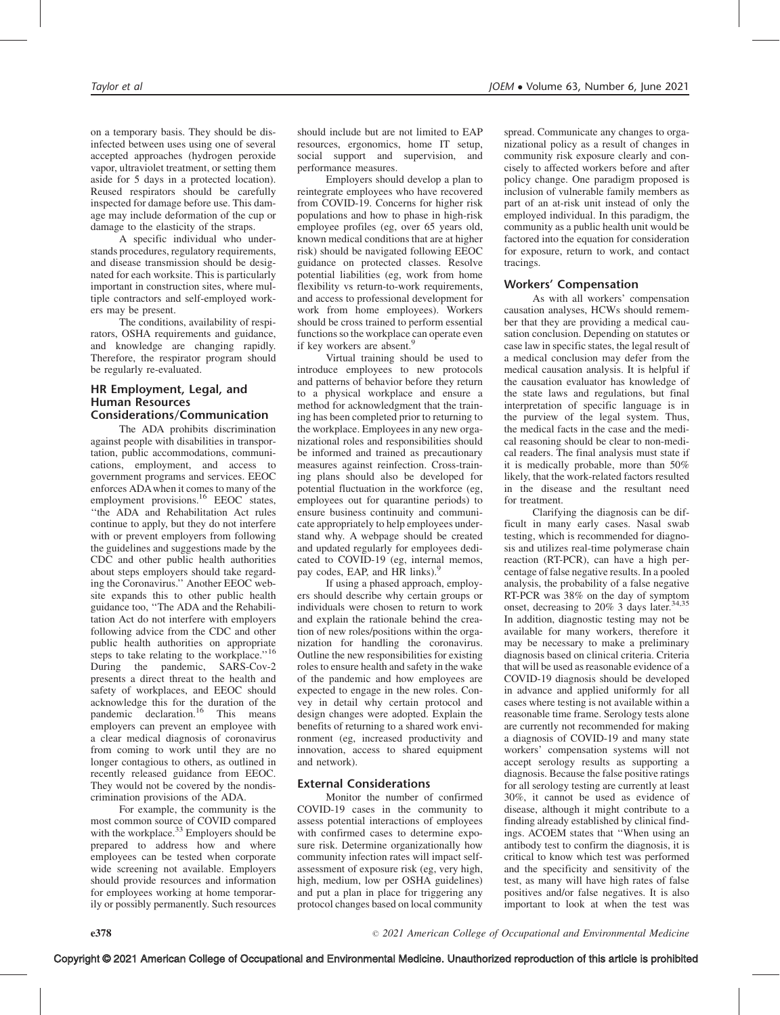on a temporary basis. They should be disinfected between uses using one of several accepted approaches (hydrogen peroxide vapor, ultraviolet treatment, or setting them aside for 5 days in a protected location). Reused respirators should be carefully inspected for damage before use. This damage may include deformation of the cup or damage to the elasticity of the straps.

A specific individual who understands procedures, regulatory requirements, and disease transmission should be designated for each worksite. This is particularly important in construction sites, where multiple contractors and self-employed workers may be present.

The conditions, availability of respirators, OSHA requirements and guidance, and knowledge are changing rapidly. Therefore, the respirator program should be regularly re-evaluated.

## HR Employment, Legal, and Human Resources Considerations/Communication

The ADA prohibits discrimination against people with disabilities in transportation, public accommodations, communications, employment, and access to government programs and services. EEOC enforces ADAwhen it comes to many of the employment provisions.<sup>16</sup> EEOC states, ''the ADA and Rehabilitation Act rules continue to apply, but they do not interfere with or prevent employers from following the guidelines and suggestions made by the CDC and other public health authorities about steps employers should take regarding the Coronavirus.'' Another EEOC website expands this to other public health guidance too, ''The ADA and the Rehabilitation Act do not interfere with employers following advice from the CDC and other public health authorities on appropriate steps to take relating to the workplace."<sup>16</sup> During the pandemic, SARS-Cov-2 presents a direct threat to the health and safety of workplaces, and EEOC should acknowledge this for the duration of the pandemic declaration.<sup>16</sup> This means employers can prevent an employee with a clear medical diagnosis of coronavirus from coming to work until they are no longer contagious to others, as outlined in recently released guidance from EEOC. They would not be covered by the nondiscrimination provisions of the ADA.

For example, the community is the most common source of COVID compared with the workplace.<sup>33</sup> Employers should be prepared to address how and where employees can be tested when corporate wide screening not available. Employers should provide resources and information for employees working at home temporarily or possibly permanently. Such resources should include but are not limited to EAP resources, ergonomics, home IT setup, social support and supervision, and performance measures.

Employers should develop a plan to reintegrate employees who have recovered from COVID-19. Concerns for higher risk populations and how to phase in high-risk employee profiles (eg, over 65 years old, known medical conditions that are at higher risk) should be navigated following EEOC guidance on protected classes. Resolve potential liabilities (eg, work from home flexibility vs return-to-work requirements, and access to professional development for work from home employees). Workers should be cross trained to perform essential functions so the workplace can operate even if key workers are absent.<sup>9</sup>

Virtual training should be used to introduce employees to new protocols and patterns of behavior before they return to a physical workplace and ensure a method for acknowledgment that the training has been completed prior to returning to the workplace. Employees in any new organizational roles and responsibilities should be informed and trained as precautionary measures against reinfection. Cross-training plans should also be developed for potential fluctuation in the workforce (eg, employees out for quarantine periods) to ensure business continuity and communicate appropriately to help employees understand why. A webpage should be created and updated regularly for employees dedicated to COVID-19 (eg, internal memos, pay codes, EAP, and HR links).<sup>9</sup>

If using a phased approach, employers should describe why certain groups or individuals were chosen to return to work and explain the rationale behind the creation of new roles/positions within the organization for handling the coronavirus. Outline the new responsibilities for existing roles to ensure health and safety in the wake of the pandemic and how employees are expected to engage in the new roles. Convey in detail why certain protocol and design changes were adopted. Explain the benefits of returning to a shared work environment (eg, increased productivity and innovation, access to shared equipment and network).

## External Considerations

Monitor the number of confirmed COVID-19 cases in the community to assess potential interactions of employees with confirmed cases to determine exposure risk. Determine organizationally how community infection rates will impact selfassessment of exposure risk (eg, very high, high, medium, low per OSHA guidelines) and put a plan in place for triggering any protocol changes based on local community

spread. Communicate any changes to organizational policy as a result of changes in community risk exposure clearly and concisely to affected workers before and after policy change. One paradigm proposed is inclusion of vulnerable family members as part of an at-risk unit instead of only the employed individual. In this paradigm, the community as a public health unit would be factored into the equation for consideration for exposure, return to work, and contact tracings.

## Workers' Compensation

As with all workers' compensation causation analyses, HCWs should remember that they are providing a medical causation conclusion. Depending on statutes or case law in specific states, the legal result of a medical conclusion may defer from the medical causation analysis. It is helpful if the causation evaluator has knowledge of the state laws and regulations, but final interpretation of specific language is in the purview of the legal system. Thus, the medical facts in the case and the medical reasoning should be clear to non-medical readers. The final analysis must state if it is medically probable, more than 50% likely, that the work-related factors resulted in the disease and the resultant need for treatment.

Clarifying the diagnosis can be difficult in many early cases. Nasal swab testing, which is recommended for diagnosis and utilizes real-time polymerase chain reaction (RT-PCR), can have a high percentage of false negative results. In a pooled analysis, the probability of a false negative RT-PCR was 38% on the day of symptom onset, decreasing to 20% 3 days later.34,35 In addition, diagnostic testing may not be available for many workers, therefore it may be necessary to make a preliminary diagnosis based on clinical criteria. Criteria that will be used as reasonable evidence of a COVID-19 diagnosis should be developed in advance and applied uniformly for all cases where testing is not available within a reasonable time frame. Serology tests alone are currently not recommended for making a diagnosis of COVID-19 and many state workers' compensation systems will not accept serology results as supporting a diagnosis. Because the false positive ratings for all serology testing are currently at least 30%, it cannot be used as evidence of disease, although it might contribute to a finding already established by clinical findings. ACOEM states that ''When using an antibody test to confirm the diagnosis, it is critical to know which test was performed and the specificity and sensitivity of the test, as many will have high rates of false positives and/or false negatives. It is also important to look at when the test was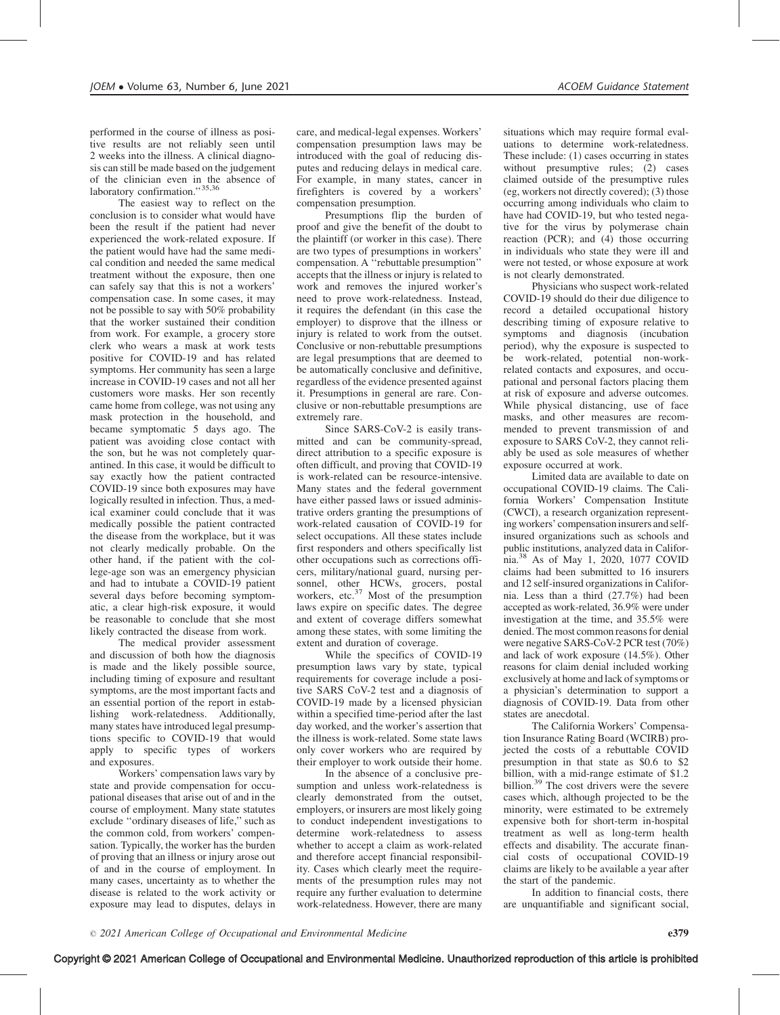performed in the course of illness as positive results are not reliably seen until 2 weeks into the illness. A clinical diagnosis can still be made based on the judgement of the clinician even in the absence of laboratory confirmation." 35,36

The easiest way to reflect on the conclusion is to consider what would have been the result if the patient had never experienced the work-related exposure. If the patient would have had the same medical condition and needed the same medical treatment without the exposure, then one can safely say that this is not a workers' compensation case. In some cases, it may not be possible to say with 50% probability that the worker sustained their condition from work. For example, a grocery store clerk who wears a mask at work tests positive for COVID-19 and has related symptoms. Her community has seen a large increase in COVID-19 cases and not all her customers wore masks. Her son recently came home from college, was not using any mask protection in the household, and became symptomatic 5 days ago. The patient was avoiding close contact with the son, but he was not completely quarantined. In this case, it would be difficult to say exactly how the patient contracted COVID-19 since both exposures may have logically resulted in infection. Thus, a medical examiner could conclude that it was medically possible the patient contracted the disease from the workplace, but it was not clearly medically probable. On the other hand, if the patient with the college-age son was an emergency physician and had to intubate a COVID-19 patient several days before becoming symptomatic, a clear high-risk exposure, it would be reasonable to conclude that she most likely contracted the disease from work.

The medical provider assessment and discussion of both how the diagnosis is made and the likely possible source, including timing of exposure and resultant symptoms, are the most important facts and an essential portion of the report in establishing work-relatedness. Additionally, many states have introduced legal presumptions specific to COVID-19 that would apply to specific types of workers and exposures.

Workers' compensation laws vary by state and provide compensation for occupational diseases that arise out of and in the course of employment. Many state statutes exclude ''ordinary diseases of life,'' such as the common cold, from workers' compensation. Typically, the worker has the burden of proving that an illness or injury arose out of and in the course of employment. In many cases, uncertainty as to whether the disease is related to the work activity or exposure may lead to disputes, delays in

care, and medical-legal expenses. Workers' compensation presumption laws may be introduced with the goal of reducing disputes and reducing delays in medical care. For example, in many states, cancer in firefighters is covered by a workers' compensation presumption.

Presumptions flip the burden of proof and give the benefit of the doubt to the plaintiff (or worker in this case). There are two types of presumptions in workers' compensation. A ''rebuttable presumption'' accepts that the illness or injury is related to work and removes the injured worker's need to prove work-relatedness. Instead, it requires the defendant (in this case the employer) to disprove that the illness or injury is related to work from the outset. Conclusive or non-rebuttable presumptions are legal presumptions that are deemed to be automatically conclusive and definitive, regardless of the evidence presented against it. Presumptions in general are rare. Conclusive or non-rebuttable presumptions are extremely rare.

Since SARS-CoV-2 is easily transmitted and can be community-spread, direct attribution to a specific exposure is often difficult, and proving that COVID-19 is work-related can be resource-intensive. Many states and the federal government have either passed laws or issued administrative orders granting the presumptions of work-related causation of COVID-19 for select occupations. All these states include first responders and others specifically list other occupations such as corrections officers, military/national guard, nursing personnel, other HCWs, grocers, postal workers, etc.<sup>37</sup> Most of the presumption laws expire on specific dates. The degree and extent of coverage differs somewhat among these states, with some limiting the extent and duration of coverage.

While the specifics of COVID-19 presumption laws vary by state, typical requirements for coverage include a positive SARS CoV-2 test and a diagnosis of COVID-19 made by a licensed physician within a specified time-period after the last day worked, and the worker's assertion that the illness is work-related. Some state laws only cover workers who are required by their employer to work outside their home.

In the absence of a conclusive presumption and unless work-relatedness is clearly demonstrated from the outset, employers, or insurers are most likely going to conduct independent investigations to determine work-relatedness to assess whether to accept a claim as work-related and therefore accept financial responsibility. Cases which clearly meet the requirements of the presumption rules may not require any further evaluation to determine work-relatedness. However, there are many situations which may require formal evaluations to determine work-relatedness. These include: (1) cases occurring in states without presumptive rules; (2) cases claimed outside of the presumptive rules (eg, workers not directly covered); (3) those occurring among individuals who claim to have had COVID-19, but who tested negative for the virus by polymerase chain reaction (PCR); and (4) those occurring in individuals who state they were ill and were not tested, or whose exposure at work is not clearly demonstrated.

Physicians who suspect work-related COVID-19 should do their due diligence to record a detailed occupational history describing timing of exposure relative to symptoms and diagnosis (incubation period), why the exposure is suspected to be work-related, potential non-workrelated contacts and exposures, and occupational and personal factors placing them at risk of exposure and adverse outcomes. While physical distancing, use of face masks, and other measures are recommended to prevent transmission of and exposure to SARS CoV-2, they cannot reliably be used as sole measures of whether exposure occurred at work.

Limited data are available to date on occupational COVID-19 claims. The California Workers' Compensation Institute (CWCI), a research organization representing workers' compensation insurers and selfinsured organizations such as schools and public institutions, analyzed data in California.38 As of May 1, 2020, 1077 COVID claims had been submitted to 16 insurers and 12 self-insured organizations in California. Less than a third (27.7%) had been accepted as work-related, 36.9% were under investigation at the time, and 35.5% were denied. The most common reasons for denial were negative SARS-CoV-2 PCR test (70%) and lack of work exposure (14.5%). Other reasons for claim denial included working exclusively at home and lack of symptoms or a physician's determination to support a diagnosis of COVID-19. Data from other states are anecdotal.

The California Workers' Compensation Insurance Rating Board (WCIRB) projected the costs of a rebuttable COVID presumption in that state as \$0.6 to \$2 billion, with a mid-range estimate of \$1.2 billion.<sup>39</sup> The cost drivers were the severe cases which, although projected to be the minority, were estimated to be extremely expensive both for short-term in-hospital treatment as well as long-term health effects and disability. The accurate financial costs of occupational COVID-19 claims are likely to be available a year after the start of the pandemic.

In addition to financial costs, there are unquantifiable and significant social,

Copyright © 2021 American College of Occupational and Environmental Medicine. Unauthorized reproduction of this article is prohibited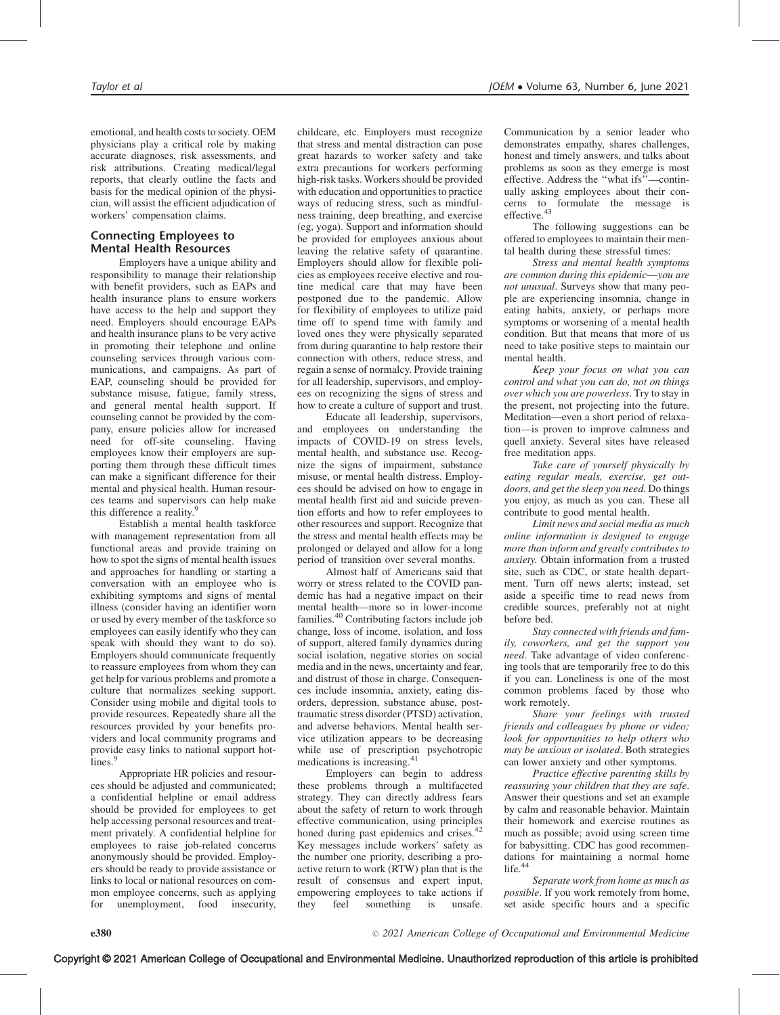emotional, and health costs to society. OEM physicians play a critical role by making accurate diagnoses, risk assessments, and risk attributions. Creating medical/legal reports, that clearly outline the facts and basis for the medical opinion of the physician, will assist the efficient adjudication of workers' compensation claims.

# Connecting Employees to Mental Health Resources

Employers have a unique ability and responsibility to manage their relationship with benefit providers, such as EAPs and health insurance plans to ensure workers have access to the help and support they need. Employers should encourage EAPs and health insurance plans to be very active in promoting their telephone and online counseling services through various communications, and campaigns. As part of EAP, counseling should be provided for substance misuse, fatigue, family stress, and general mental health support. If counseling cannot be provided by the company, ensure policies allow for increased need for off-site counseling. Having employees know their employers are supporting them through these difficult times can make a significant difference for their mental and physical health. Human resources teams and supervisors can help make this difference a reality.<sup>9</sup>

Establish a mental health taskforce with management representation from all functional areas and provide training on how to spot the signs of mental health issues and approaches for handling or starting a conversation with an employee who is exhibiting symptoms and signs of mental illness (consider having an identifier worn or used by every member of the taskforce so employees can easily identify who they can speak with should they want to do so). Employers should communicate frequently to reassure employees from whom they can get help for various problems and promote a culture that normalizes seeking support. Consider using mobile and digital tools to provide resources. Repeatedly share all the resources provided by your benefits providers and local community programs and provide easy links to national support hotlines.<sup>9</sup>

Appropriate HR policies and resources should be adjusted and communicated; a confidential helpline or email address should be provided for employees to get help accessing personal resources and treatment privately. A confidential helpline for employees to raise job-related concerns anonymously should be provided. Employers should be ready to provide assistance or links to local or national resources on common employee concerns, such as applying for unemployment, food insecurity,

childcare, etc. Employers must recognize that stress and mental distraction can pose great hazards to worker safety and take extra precautions for workers performing high-risk tasks. Workers should be provided with education and opportunities to practice ways of reducing stress, such as mindfulness training, deep breathing, and exercise (eg, yoga). Support and information should be provided for employees anxious about leaving the relative safety of quarantine. Employers should allow for flexible policies as employees receive elective and routine medical care that may have been postponed due to the pandemic. Allow for flexibility of employees to utilize paid time off to spend time with family and loved ones they were physically separated from during quarantine to help restore their connection with others, reduce stress, and regain a sense of normalcy. Provide training for all leadership, supervisors, and employees on recognizing the signs of stress and how to create a culture of support and trust.

Educate all leadership, supervisors, and employees on understanding the impacts of COVID-19 on stress levels, mental health, and substance use. Recognize the signs of impairment, substance misuse, or mental health distress. Employees should be advised on how to engage in mental health first aid and suicide prevention efforts and how to refer employees to other resources and support. Recognize that the stress and mental health effects may be prolonged or delayed and allow for a long period of transition over several months.

Almost half of Americans said that worry or stress related to the COVID pandemic has had a negative impact on their mental health—more so in lower-income families.<sup>40</sup> Contributing factors include job change, loss of income, isolation, and loss of support, altered family dynamics during social isolation, negative stories on social media and in the news, uncertainty and fear, and distrust of those in charge. Consequences include insomnia, anxiety, eating disorders, depression, substance abuse, posttraumatic stress disorder (PTSD) activation, and adverse behaviors. Mental health service utilization appears to be decreasing while use of prescription psychotropic medications is increasing.<sup>41</sup>

Employers can begin to address these problems through a multifaceted strategy. They can directly address fears about the safety of return to work through effective communication, using principles honed during past epidemics and crises.<sup>42</sup> Key messages include workers' safety as the number one priority, describing a proactive return to work (RTW) plan that is the result of consensus and expert input, empowering employees to take actions if they feel something is unsafe.

Communication by a senior leader who demonstrates empathy, shares challenges, honest and timely answers, and talks about problems as soon as they emerge is most effective. Address the ''what ifs''—continually asking employees about their concerns to formulate the message is<br>effective.<sup>43</sup>

The following suggestions can be offered to employees to maintain their mental health during these stressful times:

Stress and mental health symptoms are common during this epidemic—you are not unusual. Surveys show that many people are experiencing insomnia, change in eating habits, anxiety, or perhaps more symptoms or worsening of a mental health condition. But that means that more of us need to take positive steps to maintain our mental health.

Keep your focus on what you can control and what you can do, not on things over which you are powerless. Try to stay in the present, not projecting into the future. Meditation—even a short period of relaxation—is proven to improve calmness and quell anxiety. Several sites have released free meditation apps.

Take care of yourself physically by eating regular meals, exercise, get outdoors, and get the sleep you need. Do things you enjoy, as much as you can. These all contribute to good mental health.

Limit news and social media as much online information is designed to engage more than inform and greatly contributes to anxiety. Obtain information from a trusted site, such as CDC, or state health department. Turn off news alerts; instead, set aside a specific time to read news from credible sources, preferably not at night before bed.

Stay connected with friends and family, coworkers, and get the support you need. Take advantage of video conferencing tools that are temporarily free to do this if you can. Loneliness is one of the most common problems faced by those who work remotely.

Share your feelings with trusted friends and colleagues by phone or video; look for opportunities to help others who may be anxious or isolated. Both strategies can lower anxiety and other symptoms.

Practice effective parenting skills by reassuring your children that they are safe. Answer their questions and set an example by calm and reasonable behavior. Maintain their homework and exercise routines as much as possible; avoid using screen time for babysitting. CDC has good recommendations for maintaining a normal home life. $4$ 

Separate work from home as much as possible. If you work remotely from home, set aside specific hours and a specific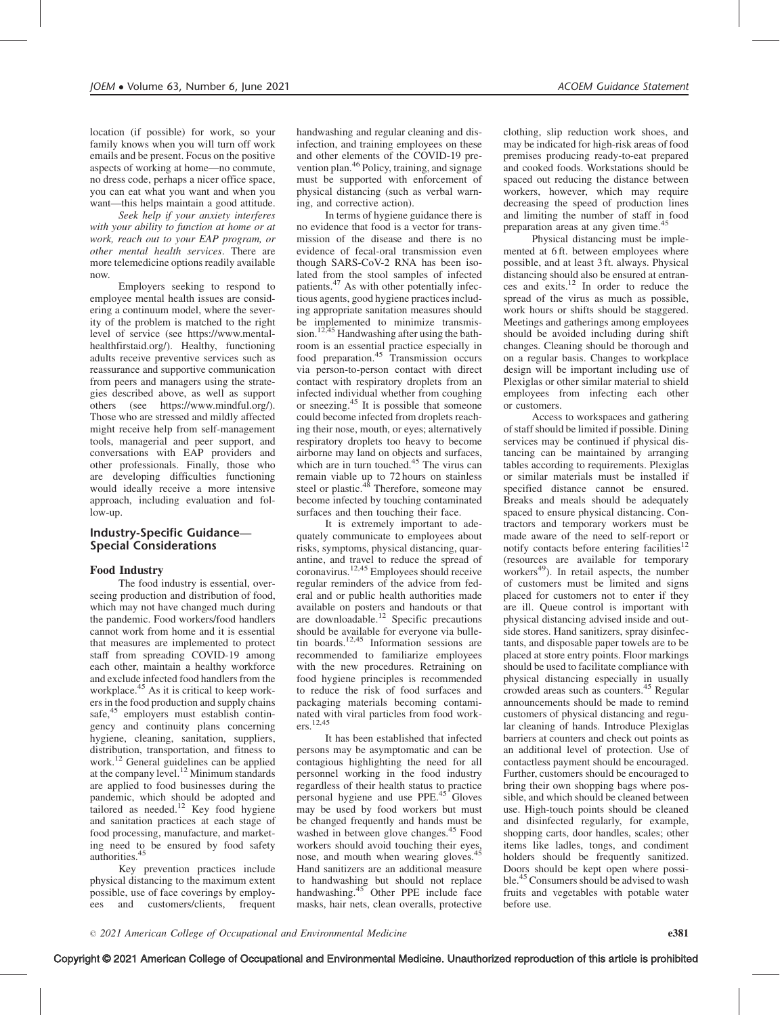location (if possible) for work, so your family knows when you will turn off work emails and be present. Focus on the positive aspects of working at home—no commute, no dress code, perhaps a nicer office space, you can eat what you want and when you want—this helps maintain a good attitude.

Seek help if your anxiety interferes with your ability to function at home or at work, reach out to your EAP program, or other mental health services. There are more telemedicine options readily available now.

Employers seeking to respond to employee mental health issues are considering a continuum model, where the severity of the problem is matched to the right level of service (see [https://www.mental](https://www.mentalhealthfirstaid.org/)[healthfirstaid.org/](https://www.mentalhealthfirstaid.org/)). Healthy, functioning adults receive preventive services such as reassurance and supportive communication from peers and managers using the strategies described above, as well as support others (see [https://www.mindful.org/\)](https://www.mindful.org/). Those who are stressed and mildly affected might receive help from self-management tools, managerial and peer support, and conversations with EAP providers and other professionals. Finally, those who are developing difficulties functioning would ideally receive a more intensive approach, including evaluation and follow-up.

## Industry-Specific Guidance— Special Considerations

#### Food Industry

The food industry is essential, overseeing production and distribution of food, which may not have changed much during the pandemic. Food workers/food handlers cannot work from home and it is essential that measures are implemented to protect staff from spreading COVID-19 among each other, maintain a healthy workforce and exclude infected food handlers from the workplace.<sup>45</sup> As it is critical to keep workers in the food production and supply chains safe,<sup>45</sup> employers must establish contingency and continuity plans concerning hygiene, cleaning, sanitation, suppliers, distribution, transportation, and fitness to work.<sup>12</sup> General guidelines can be applied at the company level.<sup>12</sup> Minimum standards are applied to food businesses during the pandemic, which should be adopted and tailored as needed.<sup>12</sup> Key food hygiene and sanitation practices at each stage of food processing, manufacture, and marketing need to be ensured by food safety authorities.<sup>4</sup>

Key prevention practices include physical distancing to the maximum extent possible, use of face coverings by employees and customers/clients, frequent

handwashing and regular cleaning and disinfection, and training employees on these and other elements of the COVID-19 prevention plan.<sup>46</sup> Policy, training, and signage must be supported with enforcement of physical distancing (such as verbal warning, and corrective action).

In terms of hygiene guidance there is no evidence that food is a vector for transmission of the disease and there is no evidence of fecal-oral transmission even though SARS-CoV-2 RNA has been isolated from the stool samples of infected patients.<sup>47</sup> As with other potentially infectious agents, good hygiene practices including appropriate sanitation measures should be implemented to minimize transmission.<sup>12,45</sup> Handwashing after using the bathroom is an essential practice especially in food preparation.<sup>45</sup> Transmission occurs via person-to-person contact with direct contact with respiratory droplets from an infected individual whether from coughing or sneezing.45 It is possible that someone could become infected from droplets reaching their nose, mouth, or eyes; alternatively respiratory droplets too heavy to become airborne may land on objects and surfaces, which are in turn touched.<sup>45</sup> The virus can remain viable up to 72 hours on stainless<br>steel or plastic.<sup>48</sup> Therefore, someone may become infected by touching contaminated surfaces and then touching their face.

It is extremely important to adequately communicate to employees about risks, symptoms, physical distancing, quarantine, and travel to reduce the spread of coronavirus.12,45 Employees should receive regular reminders of the advice from federal and or public health authorities made available on posters and handouts or that are downloadable.<sup>12</sup> Specific precautions should be available for everyone via bulletin boards.<sup>12,45</sup> Information sessions are recommended to familiarize employees with the new procedures. Retraining on food hygiene principles is recommended to reduce the risk of food surfaces and packaging materials becoming contaminated with viral particles from food workers.12,45

It has been established that infected persons may be asymptomatic and can be contagious highlighting the need for all personnel working in the food industry regardless of their health status to practice personal hygiene and use PPE.<sup>45</sup> Gloves may be used by food workers but must be changed frequently and hands must be washed in between glove changes.<sup>45</sup> Food wasned in between  $\frac{1}{6}$  between  $\frac{1}{6}$  between their eyes, nose, and mouth when wearing gloves.<sup>4</sup> Hand sanitizers are an additional measure to handwashing but should not replace<br>handwashing.<sup>45</sup> Other PPE include face masks, hair nets, clean overalls, protective

clothing, slip reduction work shoes, and may be indicated for high-risk areas of food premises producing ready-to-eat prepared and cooked foods. Workstations should be spaced out reducing the distance between workers, however, which may require decreasing the speed of production lines and limiting the number of staff in food preparation areas at any given time.<sup>45</sup>

Physical distancing must be implemented at 6 ft. between employees where possible, and at least 3 ft. always. Physical distancing should also be ensured at entrances and exits. $12$  In order to reduce the spread of the virus as much as possible, work hours or shifts should be staggered. Meetings and gatherings among employees should be avoided including during shift changes. Cleaning should be thorough and on a regular basis. Changes to workplace design will be important including use of Plexiglas or other similar material to shield employees from infecting each other or customers.

Access to workspaces and gathering of staff should be limited if possible. Dining services may be continued if physical distancing can be maintained by arranging tables according to requirements. Plexiglas or similar materials must be installed if specified distance cannot be ensured. Breaks and meals should be adequately spaced to ensure physical distancing. Contractors and temporary workers must be made aware of the need to self-report or notify contacts before entering facilities<sup>12</sup> (resources are available for temporary workers $49$ ). In retail aspects, the number of customers must be limited and signs placed for customers not to enter if they are ill. Queue control is important with physical distancing advised inside and outside stores. Hand sanitizers, spray disinfectants, and disposable paper towels are to be placed at store entry points. Floor markings should be used to facilitate compliance with physical distancing especially in usually crowded areas such as counters.<sup>45</sup> Regular announcements should be made to remind customers of physical distancing and regular cleaning of hands. Introduce Plexiglas barriers at counters and check out points as an additional level of protection. Use of contactless payment should be encouraged. Further, customers should be encouraged to bring their own shopping bags where possible, and which should be cleaned between use. High-touch points should be cleaned and disinfected regularly, for example, shopping carts, door handles, scales; other items like ladles, tongs, and condiment holders should be frequently sanitized. Doors should be kept open where possible.<sup>45</sup> Consumers should be advised to wash fruits and vegetables with potable water before use.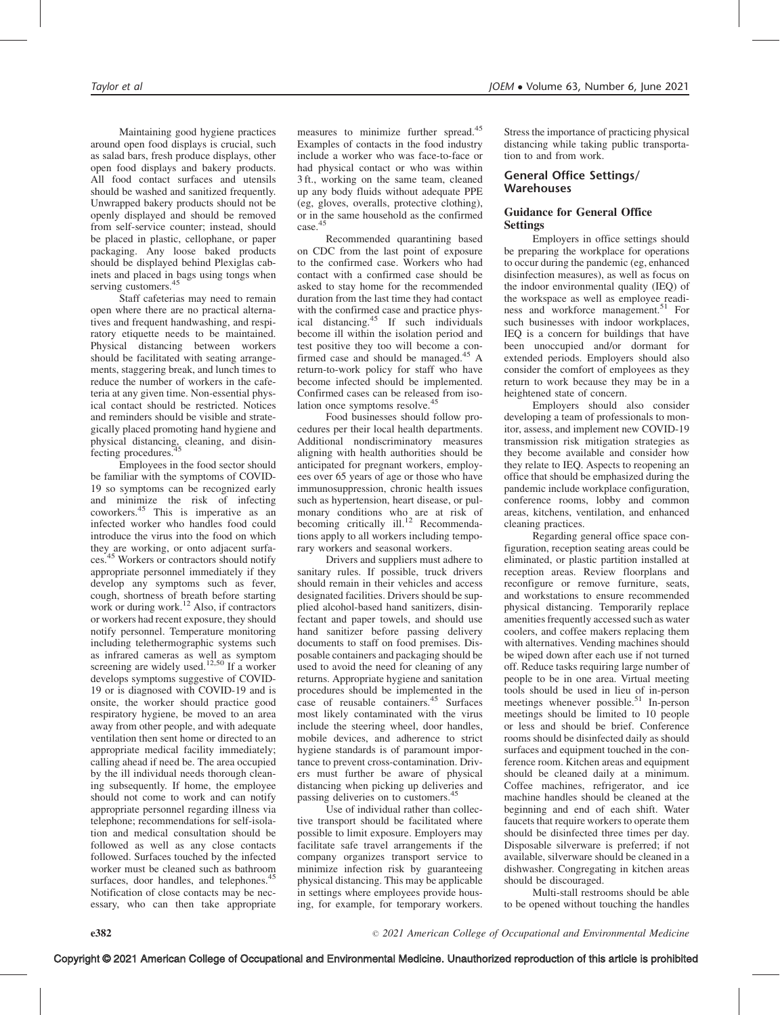Maintaining good hygiene practices around open food displays is crucial, such as salad bars, fresh produce displays, other open food displays and bakery products. All food contact surfaces and utensils should be washed and sanitized frequently. Unwrapped bakery products should not be openly displayed and should be removed from self-service counter; instead, should be placed in plastic, cellophane, or paper packaging. Any loose baked products should be displayed behind Plexiglas cabinets and placed in bags using tongs when serving customers.<sup>45</sup>

Staff cafeterias may need to remain open where there are no practical alternatives and frequent handwashing, and respiratory etiquette needs to be maintained. Physical distancing between workers should be facilitated with seating arrangements, staggering break, and lunch times to reduce the number of workers in the cafeteria at any given time. Non-essential physical contact should be restricted. Notices and reminders should be visible and strategically placed promoting hand hygiene and physical distancing, cleaning, and disinfecting procedures.

Employees in the food sector should be familiar with the symptoms of COVID-19 so symptoms can be recognized early and minimize the risk of infecting coworkers.45 This is imperative as an infected worker who handles food could introduce the virus into the food on which they are working, or onto adjacent surfaces.<sup>45</sup> Workers or contractors should notify appropriate personnel immediately if they develop any symptoms such as fever, cough, shortness of breath before starting work or during work.<sup>12</sup> Also, if contractors or workers had recent exposure, they should notify personnel. Temperature monitoring including telethermographic systems such as infrared cameras as well as symptom screening are widely used.<sup>12,50</sup> If a worker develops symptoms suggestive of COVID-19 or is diagnosed with COVID-19 and is onsite, the worker should practice good respiratory hygiene, be moved to an area away from other people, and with adequate ventilation then sent home or directed to an appropriate medical facility immediately; calling ahead if need be. The area occupied by the ill individual needs thorough cleaning subsequently. If home, the employee should not come to work and can notify appropriate personnel regarding illness via telephone; recommendations for self-isolation and medical consultation should be followed as well as any close contacts followed. Surfaces touched by the infected worker must be cleaned such as bathroom surfaces, door handles, and telephones.<sup>45</sup> Notification of close contacts may be necessary, who can then take appropriate

measures to minimize further spread.<sup>45</sup> Examples of contacts in the food industry include a worker who was face-to-face or had physical contact or who was within 3 ft., working on the same team, cleaned up any body fluids without adequate PPE (eg, gloves, overalls, protective clothing), or in the same household as the confirmed case.<sup>45</sup>

Recommended quarantining based on CDC from the last point of exposure to the confirmed case. Workers who had contact with a confirmed case should be asked to stay home for the recommended duration from the last time they had contact with the confirmed case and practice physical distancing.<sup>45</sup> If such individuals become ill within the isolation period and test positive they too will become a confirmed case and should be managed.<sup>45</sup> A return-to-work policy for staff who have become infected should be implemented. Confirmed cases can be released from isolation once symptoms resolve.<sup>45</sup>

Food businesses should follow procedures per their local health departments. Additional nondiscriminatory measures aligning with health authorities should be anticipated for pregnant workers, employees over 65 years of age or those who have immunosuppression, chronic health issues such as hypertension, heart disease, or pulmonary conditions who are at risk of becoming critically ill.<sup>12</sup> Recommendations apply to all workers including temporary workers and seasonal workers.

Drivers and suppliers must adhere to sanitary rules. If possible, truck drivers should remain in their vehicles and access designated facilities. Drivers should be supplied alcohol-based hand sanitizers, disinfectant and paper towels, and should use hand sanitizer before passing delivery documents to staff on food premises. Disposable containers and packaging should be used to avoid the need for cleaning of any returns. Appropriate hygiene and sanitation procedures should be implemented in the case of reusable containers.<sup>45</sup> Surfaces most likely contaminated with the virus include the steering wheel, door handles, mobile devices, and adherence to strict hygiene standards is of paramount importance to prevent cross-contamination. Drivers must further be aware of physical distancing when picking up deliveries and passing deliveries on to customers.<sup>45</sup>

Use of individual rather than collective transport should be facilitated where possible to limit exposure. Employers may facilitate safe travel arrangements if the company organizes transport service to minimize infection risk by guaranteeing physical distancing. This may be applicable in settings where employees provide housing, for example, for temporary workers.

Stress the importance of practicing physical distancing while taking public transportation to and from work.

## General Office Settings/ Warehouses

## Guidance for General Office Settings

Employers in office settings should be preparing the workplace for operations to occur during the pandemic (eg, enhanced disinfection measures), as well as focus on the indoor environmental quality (IEQ) of the workspace as well as employee readiness and workforce management.<sup>51</sup> For such businesses with indoor workplaces, IEQ is a concern for buildings that have been unoccupied and/or dormant for extended periods. Employers should also consider the comfort of employees as they return to work because they may be in a heightened state of concern.

Employers should also consider developing a team of professionals to monitor, assess, and implement new COVID-19 transmission risk mitigation strategies as they become available and consider how they relate to IEQ. Aspects to reopening an office that should be emphasized during the pandemic include workplace configuration, conference rooms, lobby and common areas, kitchens, ventilation, and enhanced cleaning practices.

Regarding general office space configuration, reception seating areas could be eliminated, or plastic partition installed at reception areas. Review floorplans and reconfigure or remove furniture, seats, and workstations to ensure recommended physical distancing. Temporarily replace amenities frequently accessed such as water coolers, and coffee makers replacing them with alternatives. Vending machines should be wiped down after each use if not turned off. Reduce tasks requiring large number of people to be in one area. Virtual meeting tools should be used in lieu of in-person meetings whenever possible.<sup>51</sup> In-person meetings should be limited to 10 people or less and should be brief. Conference rooms should be disinfected daily as should surfaces and equipment touched in the conference room. Kitchen areas and equipment should be cleaned daily at a minimum. Coffee machines, refrigerator, and ice machine handles should be cleaned at the beginning and end of each shift. Water faucets that require workers to operate them should be disinfected three times per day. Disposable silverware is preferred; if not available, silverware should be cleaned in a dishwasher. Congregating in kitchen areas should be discouraged.

Multi-stall restrooms should be able to be opened without touching the handles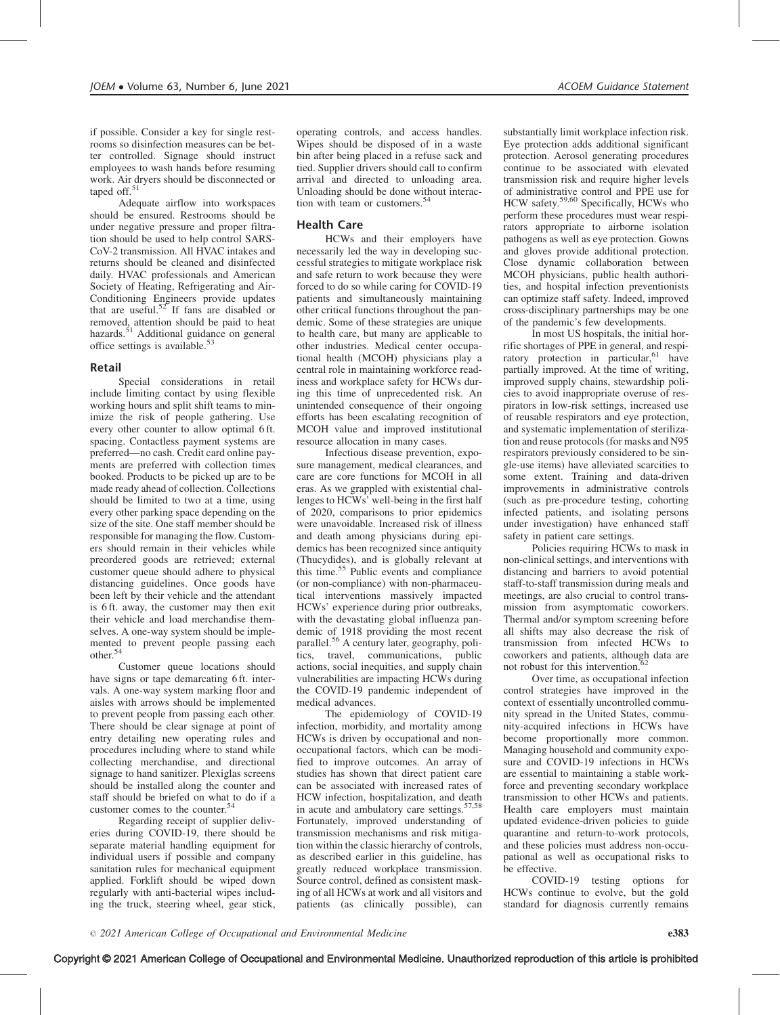if possible. Consider a key for single restrooms so disinfection measures can be better controlled. Signage should instruct employees to wash hands before resuming work. Air dryers should be disconnected or taped off.<sup>51</sup>

Adequate airflow into workspaces should be ensured. Restrooms should be under negative pressure and proper filtration should be used to help control SARS-CoV-2 transmission. All HVAC intakes and returns should be cleaned and disinfected daily. HVAC professionals and American Society of Heating, Refrigerating and Air-Conditioning Engineers provide updates that are useful.<sup>52</sup> If fans are disabled or removed, attention should be paid to heat hazards.<sup>51</sup> Additional guidance on general office settings is available. $5$ 

#### Retail

Special considerations in retail include limiting contact by using flexible working hours and split shift teams to minimize the risk of people gathering. Use every other counter to allow optimal 6 ft. spacing. Contactless payment systems are preferred—no cash. Credit card online payments are preferred with collection times booked. Products to be picked up are to be made ready ahead of collection. Collections should be limited to two at a time, using every other parking space depending on the size of the site. One staff member should be responsible for managing the flow. Customers should remain in their vehicles while preordered goods are retrieved; external customer queue should adhere to physical distancing guidelines. Once goods have been left by their vehicle and the attendant is 6 ft. away, the customer may then exit their vehicle and load merchandise themselves. A one-way system should be implemented to prevent people passing each other.<sup>54</sup>

Customer queue locations should have signs or tape demarcating 6 ft. intervals. A one-way system marking floor and aisles with arrows should be implemented to prevent people from passing each other. There should be clear signage at point of entry detailing new operating rules and procedures including where to stand while collecting merchandise, and directional signage to hand sanitizer. Plexiglas screens should be installed along the counter and staff should be briefed on what to do if a customer comes to the counter.<sup>54</sup>

Regarding receipt of supplier deliveries during COVID-19, there should be separate material handling equipment for individual users if possible and company sanitation rules for mechanical equipment applied. Forklift should be wiped down regularly with anti-bacterial wipes including the truck, steering wheel, gear stick,

operating controls, and access handles. Wipes should be disposed of in a waste bin after being placed in a refuse sack and tied. Supplier drivers should call to confirm arrival and directed to unloading area. Unloading should be done without interaction with team or customers.<sup>5</sup>

## Health Care

HCWs and their employers have necessarily led the way in developing successful strategies to mitigate workplace risk and safe return to work because they were forced to do so while caring for COVID-19 patients and simultaneously maintaining other critical functions throughout the pandemic. Some of these strategies are unique to health care, but many are applicable to other industries. Medical center occupational health (MCOH) physicians play a central role in maintaining workforce readiness and workplace safety for HCWs during this time of unprecedented risk. An unintended consequence of their ongoing efforts has been escalating recognition of MCOH value and improved institutional resource allocation in many cases.

Infectious disease prevention, exposure management, medical clearances, and care are core functions for MCOH in all eras. As we grappled with existential challenges to HCWs' well-being in the first half of 2020, comparisons to prior epidemics were unavoidable. Increased risk of illness and death among physicians during epidemics has been recognized since antiquity (Thucydides), and is globally relevant at this time.<sup>55</sup> Public events and compliance (or non-compliance) with non-pharmaceutical interventions massively impacted HCWs' experience during prior outbreaks, with the devastating global influenza pandemic of 1918 providing the most recent parallel.<sup>56</sup> A century later, geography, politics, travel, communications, public actions, social inequities, and supply chain vulnerabilities are impacting HCWs during the COVID-19 pandemic independent of medical advances.

The epidemiology of COVID-19 infection, morbidity, and mortality among HCWs is driven by occupational and nonoccupational factors, which can be modified to improve outcomes. An array of studies has shown that direct patient care can be associated with increased rates of HCW infection, hospitalization, and death in acute and ambulatory care settings.<sup>57,58</sup> Fortunately, improved understanding of transmission mechanisms and risk mitigation within the classic hierarchy of controls, as described earlier in this guideline, has greatly reduced workplace transmission. Source control, defined as consistent masking of all HCWs at work and all visitors and patients (as clinically possible), can

substantially limit workplace infection risk. Eye protection adds additional significant protection. Aerosol generating procedures continue to be associated with elevated transmission risk and require higher levels of administrative control and PPE use for HCW safety.<sup>59,60</sup> Specifically, HCWs who perform these procedures must wear respirators appropriate to airborne isolation pathogens as well as eye protection. Gowns and gloves provide additional protection. Close dynamic collaboration between MCOH physicians, public health authorities, and hospital infection preventionists can optimize staff safety. Indeed, improved cross-disciplinary partnerships may be one of the pandemic's few developments.

In most US hospitals, the initial horrific shortages of PPE in general, and respiratory protection in particular,  $61$  have partially improved. At the time of writing, improved supply chains, stewardship policies to avoid inappropriate overuse of respirators in low-risk settings, increased use of reusable respirators and eye protection, and systematic implementation of sterilization and reuse protocols (for masks and N95 respirators previously considered to be single-use items) have alleviated scarcities to some extent. Training and data-driven improvements in administrative controls (such as pre-procedure testing, cohorting infected patients, and isolating persons under investigation) have enhanced staff safety in patient care settings.

Policies requiring HCWs to mask in non-clinical settings, and interventions with distancing and barriers to avoid potential staff-to-staff transmission during meals and meetings, are also crucial to control transmission from asymptomatic coworkers. Thermal and/or symptom screening before all shifts may also decrease the risk of transmission from infected HCWs to coworkers and patients, although data are not robust for this intervention.<sup>62</sup>

Over time, as occupational infection control strategies have improved in the context of essentially uncontrolled community spread in the United States, community-acquired infections in HCWs have become proportionally more common. Managing household and community exposure and COVID-19 infections in HCWs are essential to maintaining a stable workforce and preventing secondary workplace transmission to other HCWs and patients. Health care employers must maintain updated evidence-driven policies to guide quarantine and return-to-work protocols, and these policies must address non-occupational as well as occupational risks to be effective.

COVID-19 testing options for HCWs continue to evolve, but the gold standard for diagnosis currently remains

Copyright © 2021 American College of Occupational and Environmental Medicine. Unauthorized reproduction of this article is prohibited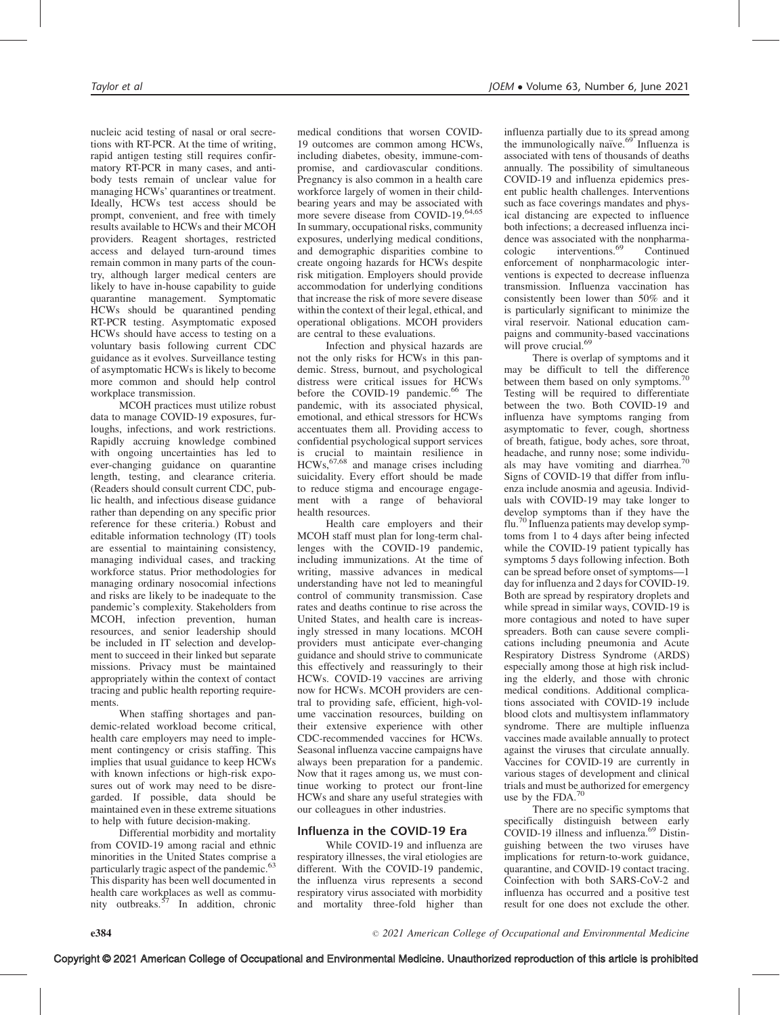nucleic acid testing of nasal or oral secretions with RT-PCR. At the time of writing, rapid antigen testing still requires confirmatory RT-PCR in many cases, and antibody tests remain of unclear value for managing HCWs' quarantines or treatment. Ideally, HCWs test access should be prompt, convenient, and free with timely results available to HCWs and their MCOH providers. Reagent shortages, restricted access and delayed turn-around times remain common in many parts of the country, although larger medical centers are likely to have in-house capability to guide quarantine management. Symptomatic HCWs should be quarantined pending RT-PCR testing. Asymptomatic exposed HCWs should have access to testing on a voluntary basis following current CDC guidance as it evolves. Surveillance testing of asymptomatic HCWs is likely to become more common and should help control workplace transmission.

MCOH practices must utilize robust data to manage COVID-19 exposures, furloughs, infections, and work restrictions. Rapidly accruing knowledge combined with ongoing uncertainties has led to ever-changing guidance on quarantine length, testing, and clearance criteria. (Readers should consult current CDC, public health, and infectious disease guidance rather than depending on any specific prior reference for these criteria.) Robust and editable information technology (IT) tools are essential to maintaining consistency, managing individual cases, and tracking workforce status. Prior methodologies for managing ordinary nosocomial infections and risks are likely to be inadequate to the pandemic's complexity. Stakeholders from MCOH, infection prevention, human resources, and senior leadership should be included in IT selection and development to succeed in their linked but separate missions. Privacy must be maintained appropriately within the context of contact tracing and public health reporting requirements.

When staffing shortages and pandemic-related workload become critical, health care employers may need to implement contingency or crisis staffing. This implies that usual guidance to keep HCWs with known infections or high-risk exposures out of work may need to be disregarded. If possible, data should be maintained even in these extreme situations to help with future decision-making.

Differential morbidity and mortality from COVID-19 among racial and ethnic minorities in the United States comprise a particularly tragic aspect of the pandemic.<sup>63</sup> This disparity has been well documented in health care workplaces as well as commu-<br>nity outbreaks.<sup>57</sup> In addition, chronic

medical conditions that worsen COVID-19 outcomes are common among HCWs, including diabetes, obesity, immune-compromise, and cardiovascular conditions. Pregnancy is also common in a health care workforce largely of women in their childbearing years and may be associated with more severe disease from COVID-19.<sup>64,65</sup> In summary, occupational risks, community exposures, underlying medical conditions, and demographic disparities combine to create ongoing hazards for HCWs despite risk mitigation. Employers should provide accommodation for underlying conditions that increase the risk of more severe disease within the context of their legal, ethical, and operational obligations. MCOH providers are central to these evaluations.

Infection and physical hazards are not the only risks for HCWs in this pandemic. Stress, burnout, and psychological distress were critical issues for HCWs before the COVID-19 pandemic.<sup>66</sup> The pandemic, with its associated physical, emotional, and ethical stressors for HCWs accentuates them all. Providing access to confidential psychological support services is crucial to maintain resilience in<br>HCWs, <sup>67,68</sup> and manage crises including suicidality. Every effort should be made to reduce stigma and encourage engagement with a range of behavioral health resources.

Health care employers and their MCOH staff must plan for long-term challenges with the COVID-19 pandemic, including immunizations. At the time of writing, massive advances in medical understanding have not led to meaningful control of community transmission. Case rates and deaths continue to rise across the United States, and health care is increasingly stressed in many locations. MCOH providers must anticipate ever-changing guidance and should strive to communicate this effectively and reassuringly to their HCWs. COVID-19 vaccines are arriving now for HCWs. MCOH providers are central to providing safe, efficient, high-volume vaccination resources, building on their extensive experience with other CDC-recommended vaccines for HCWs. Seasonal influenza vaccine campaigns have always been preparation for a pandemic. Now that it rages among us, we must continue working to protect our front-line HCWs and share any useful strategies with our colleagues in other industries.

# Influenza in the COVID-19 Era

While COVID-19 and influenza are respiratory illnesses, the viral etiologies are different. With the COVID-19 pandemic, the influenza virus represents a second respiratory virus associated with morbidity and mortality three-fold higher than

influenza partially due to its spread among the immunologically naïve. $69$  Influenza is associated with tens of thousands of deaths annually. The possibility of simultaneous COVID-19 and influenza epidemics present public health challenges. Interventions such as face coverings mandates and physical distancing are expected to influence both infections; a decreased influenza incidence was associated with the nonpharmacologic interventions.<sup>69</sup> Continued enforcement of nonpharmacologic interventions is expected to decrease influenza transmission. Influenza vaccination has consistently been lower than 50% and it is particularly significant to minimize the viral reservoir. National education campaigns and community-based vaccinations will prove crucial.<sup>69</sup>

There is overlap of symptoms and it may be difficult to tell the difference between them based on only symptoms.<sup>70</sup> Testing will be required to differentiate between the two. Both COVID-19 and influenza have symptoms ranging from asymptomatic to fever, cough, shortness of breath, fatigue, body aches, sore throat, headache, and runny nose; some individuals may have vomiting and diarrhea.<sup>7</sup> Signs of COVID-19 that differ from influenza include anosmia and ageusia. Individuals with COVID-19 may take longer to develop symptoms than if they have the flu.<sup>70</sup> Influenza patients may develop symptoms from 1 to 4 days after being infected while the COVID-19 patient typically has symptoms 5 days following infection. Both can be spread before onset of symptoms—1 day for influenza and 2 days for COVID-19. Both are spread by respiratory droplets and while spread in similar ways, COVID-19 is more contagious and noted to have super spreaders. Both can cause severe complications including pneumonia and Acute Respiratory Distress Syndrome (ARDS) especially among those at high risk including the elderly, and those with chronic medical conditions. Additional complications associated with COVID-19 include blood clots and multisystem inflammatory syndrome. There are multiple influenza vaccines made available annually to protect against the viruses that circulate annually. Vaccines for COVID-19 are currently in various stages of development and clinical trials and must be authorized for emergency use by the FDA.<sup>70</sup>

There are no specific symptoms that specifically distinguish between early COVID-19 illness and influenza.<sup>69</sup> Distinguishing between the two viruses have implications for return-to-work guidance, quarantine, and COVID-19 contact tracing. Coinfection with both SARS-CoV-2 and influenza has occurred and a positive test result for one does not exclude the other.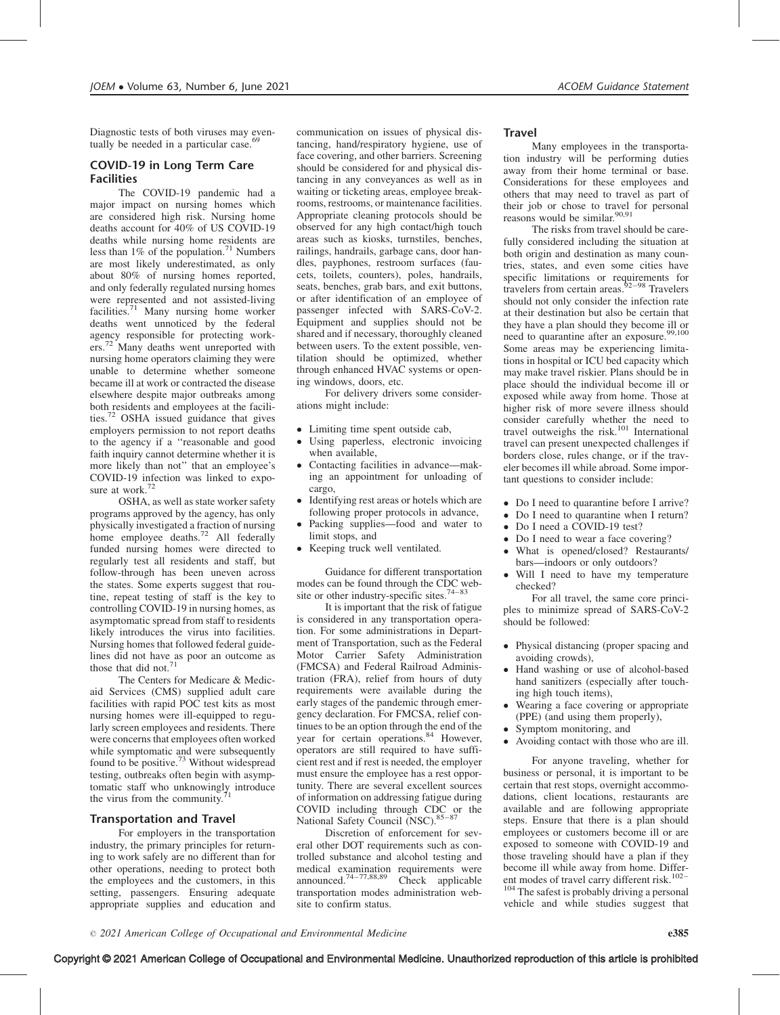Diagnostic tests of both viruses may eventually be needed in a particular case.<sup>69</sup>

# COVID-19 in Long Term Care Facilities

The COVID-19 pandemic had a major impact on nursing homes which are considered high risk. Nursing home deaths account for 40% of US COVID-19 deaths while nursing home residents are less than 1% of the population.<sup>71</sup> Numbers are most likely underestimated, as only about 80% of nursing homes reported, and only federally regulated nursing homes were represented and not assisted-living facilities.<sup>71</sup> Many nursing home worker deaths went unnoticed by the federal agency responsible for protecting workers.<sup>72</sup> Many deaths went unreported with nursing home operators claiming they were unable to determine whether someone became ill at work or contracted the disease elsewhere despite major outbreaks among both residents and employees at the facilities.72 OSHA issued guidance that gives employers permission to not report deaths to the agency if a ''reasonable and good faith inquiry cannot determine whether it is more likely than not'' that an employee's COVID-19 infection was linked to exposure at work.<sup>72</sup>

OSHA, as well as state worker safety programs approved by the agency, has only physically investigated a fraction of nursing home employee deaths.<sup>72</sup> All federally funded nursing homes were directed to regularly test all residents and staff, but follow-through has been uneven across the states. Some experts suggest that routine, repeat testing of staff is the key to controlling COVID-19 in nursing homes, as asymptomatic spread from staff to residents likely introduces the virus into facilities. Nursing homes that followed federal guidelines did not have as poor an outcome as those that did not.<sup>71</sup>

The Centers for Medicare & Medicaid Services (CMS) supplied adult care facilities with rapid POC test kits as most nursing homes were ill-equipped to regularly screen employees and residents. There were concerns that employees often worked while symptomatic and were subsequently found to be positive. $7<sup>3</sup>$  Without widespread testing, outbreaks often begin with asymptomatic staff who unknowingly introduce the virus from the community.

## Transportation and Travel

For employers in the transportation industry, the primary principles for returning to work safely are no different than for other operations, needing to protect both the employees and the customers, in this setting, passengers. Ensuring adequate appropriate supplies and education and

communication on issues of physical distancing, hand/respiratory hygiene, use of face covering, and other barriers. Screening should be considered for and physical distancing in any conveyances as well as in waiting or ticketing areas, employee breakrooms, restrooms, or maintenance facilities. Appropriate cleaning protocols should be observed for any high contact/high touch areas such as kiosks, turnstiles, benches, railings, handrails, garbage cans, door handles, payphones, restroom surfaces (faucets, toilets, counters), poles, handrails, seats, benches, grab bars, and exit buttons, or after identification of an employee of passenger infected with SARS-CoV-2. Equipment and supplies should not be shared and if necessary, thoroughly cleaned between users. To the extent possible, ventilation should be optimized, whether through enhanced HVAC systems or opening windows, doors, etc.

For delivery drivers some considerations might include:

- Limiting time spent outside cab,
- - Using paperless, electronic invoicing when available,
- $\bullet$  Contacting facilities in advance—making an appointment for unloading of cargo,
- - Identifying rest areas or hotels which are following proper protocols in advance,
- $\bullet$  Packing supplies—food and water to limit stops, and
- Keeping truck well ventilated.

Guidance for different transportation modes can be found through the CDC website or other industry-specific sites.<sup>74–83</sup>

It is important that the risk of fatigue is considered in any transportation operation. For some administrations in Department of Transportation, such as the Federal Motor Carrier Safety Administration (FMCSA) and Federal Railroad Administration (FRA), relief from hours of duty requirements were available during the early stages of the pandemic through emergency declaration. For FMCSA, relief continues to be an option through the end of the year for certain operations.<sup>84</sup> However, operators are still required to have sufficient rest and if rest is needed, the employer must ensure the employee has a rest opportunity. There are several excellent sources of information on addressing fatigue during COVID including through CDC or the National Safety Council (NSC). 85-87

Discretion of enforcement for several other DOT requirements such as controlled substance and alcohol testing and medical examination requirements were announced.<sup>74–77,88,89</sup> Check applicable transportation modes administration website to confirm status.

### **Travel**

Many employees in the transportation industry will be performing duties away from their home terminal or base. Considerations for these employees and others that may need to travel as part of their job or chose to travel for personal reasons would be similar.<sup>90,91</sup>

The risks from travel should be carefully considered including the situation at both origin and destination as many countries, states, and even some cities have specific limitations or requirements for travelers from certain areas. $92-98$  Travelers should not only consider the infection rate at their destination but also be certain that they have a plan should they become ill or need to quarantine after an exposure.<sup>99,100</sup> Some areas may be experiencing limitations in hospital or ICU bed capacity which may make travel riskier. Plans should be in place should the individual become ill or exposed while away from home. Those at higher risk of more severe illness should consider carefully whether the need to travel outweighs the risk.<sup>101</sup> International travel can present unexpected challenges if borders close, rules change, or if the traveler becomes ill while abroad. Some important questions to consider include:

- Do I need to quarantine before I arrive?
- Do I need to quarantine when I return?
- $\bullet$ Do I need a COVID-19 test?
- -Do I need to wear a face covering?
- - What is opened/closed? Restaurants/ bars—indoors or only outdoors?
- - Will I need to have my temperature checked?

For all travel, the same core principles to minimize spread of SARS-CoV-2 should be followed:

- Physical distancing (proper spacing and avoiding crowds),
- - Hand washing or use of alcohol-based hand sanitizers (especially after touching high touch items),
- - Wearing a face covering or appropriate (PPE) (and using them properly),
- Symptom monitoring, and
- -Avoiding contact with those who are ill.

For anyone traveling, whether for business or personal, it is important to be certain that rest stops, overnight accommodations, client locations, restaurants are available and are following appropriate steps. Ensure that there is a plan should employees or customers become ill or are exposed to someone with COVID-19 and those traveling should have a plan if they become ill while away from home. Different modes of travel carry different risk. $102-$ 

<sup>104</sup> The safest is probably driving a personal vehicle and while studies suggest that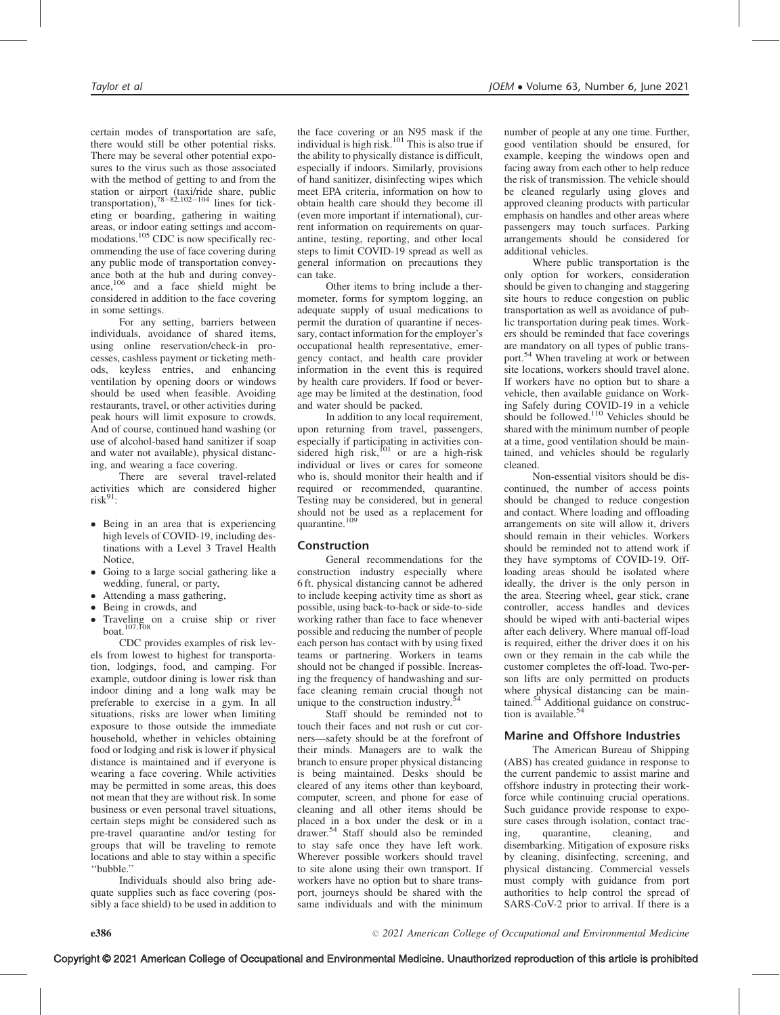certain modes of transportation are safe, there would still be other potential risks. There may be several other potential exposures to the virus such as those associated with the method of getting to and from the station or airport (taxi/ride share, public<br>transportation),  $78-82,102-104$  lines for ticketing or boarding, gathering in waiting areas, or indoor eating settings and accommodations.<sup>105</sup> CDC is now specifically recommending the use of face covering during any public mode of transportation conveyance both at the hub and during conveyance, $106$  and a face shield might be considered in addition to the face covering in some settings.

For any setting, barriers between individuals, avoidance of shared items, using online reservation/check-in processes, cashless payment or ticketing methods, keyless entries, and enhancing ventilation by opening doors or windows should be used when feasible. Avoiding restaurants, travel, or other activities during peak hours will limit exposure to crowds. And of course, continued hand washing (or use of alcohol-based hand sanitizer if soap and water not available), physical distancing, and wearing a face covering.

There are several travel-related activities which are considered higher  $risk^{91}$ :

- Being in an area that is experiencing high levels of COVID-19, including destinations with a Level 3 Travel Health Notice,
- Going to a large social gathering like a wedding, funeral, or party,
- $\bullet$ Attending a mass gathering,
- Being in crowds, and
- Traveling on a cruise ship or river boat.107,108

CDC provides examples of risk levels from lowest to highest for transportation, lodgings, food, and camping. For example, outdoor dining is lower risk than indoor dining and a long walk may be preferable to exercise in a gym. In all situations, risks are lower when limiting exposure to those outside the immediate household, whether in vehicles obtaining food or lodging and risk is lower if physical distance is maintained and if everyone is wearing a face covering. While activities may be permitted in some areas, this does not mean that they are without risk. In some business or even personal travel situations, certain steps might be considered such as pre-travel quarantine and/or testing for groups that will be traveling to remote locations and able to stay within a specific ''bubble.''

Individuals should also bring adequate supplies such as face covering (possibly a face shield) to be used in addition to the face covering or an N95 mask if the individual is high risk.<sup>101</sup> This is also true if the ability to physically distance is difficult, especially if indoors. Similarly, provisions of hand sanitizer, disinfecting wipes which meet EPA criteria, information on how to obtain health care should they become ill (even more important if international), current information on requirements on quarantine, testing, reporting, and other local steps to limit COVID-19 spread as well as general information on precautions they can take.

Other items to bring include a thermometer, forms for symptom logging, an adequate supply of usual medications to permit the duration of quarantine if necessary, contact information for the employer's occupational health representative, emergency contact, and health care provider information in the event this is required by health care providers. If food or beverage may be limited at the destination, food and water should be packed.

In addition to any local requirement, upon returning from travel, passengers, especially if participating in activities considered high risk,<sup>101</sup> or are a high-risk individual or lives or cares for someone who is, should monitor their health and if required or recommended, quarantine. Testing may be considered, but in general should not be used as a replacement for quarantine.<sup>109</sup>

#### Construction

General recommendations for the construction industry especially where 6 ft. physical distancing cannot be adhered to include keeping activity time as short as possible, using back-to-back or side-to-side working rather than face to face whenever possible and reducing the number of people each person has contact with by using fixed teams or partnering. Workers in teams should not be changed if possible. Increasing the frequency of handwashing and surface cleaning remain crucial though not unique to the construction industry.<sup>54</sup>

Staff should be reminded not to touch their faces and not rush or cut corners—safety should be at the forefront of their minds. Managers are to walk the branch to ensure proper physical distancing is being maintained. Desks should be cleared of any items other than keyboard, computer, screen, and phone for ease of cleaning and all other items should be placed in a box under the desk or in a drawer.54 Staff should also be reminded to stay safe once they have left work. Wherever possible workers should travel to site alone using their own transport. If workers have no option but to share transport, journeys should be shared with the same individuals and with the minimum

number of people at any one time. Further, good ventilation should be ensured, for example, keeping the windows open and facing away from each other to help reduce the risk of transmission. The vehicle should be cleaned regularly using gloves and approved cleaning products with particular emphasis on handles and other areas where passengers may touch surfaces. Parking arrangements should be considered for additional vehicles.

Where public transportation is the only option for workers, consideration should be given to changing and staggering site hours to reduce congestion on public transportation as well as avoidance of public transportation during peak times. Workers should be reminded that face coverings are mandatory on all types of public transport.<sup>54</sup> When traveling at work or between site locations, workers should travel alone. If workers have no option but to share a vehicle, then available guidance on Working Safely during COVID-19 in a vehicle should be followed.<sup>110</sup> Vehicles should be shared with the minimum number of people at a time, good ventilation should be maintained, and vehicles should be regularly cleaned.

Non-essential visitors should be discontinued, the number of access points should be changed to reduce congestion and contact. Where loading and offloading arrangements on site will allow it, drivers should remain in their vehicles. Workers should be reminded not to attend work if they have symptoms of COVID-19. Offloading areas should be isolated where ideally, the driver is the only person in the area. Steering wheel, gear stick, crane controller, access handles and devices should be wiped with anti-bacterial wipes after each delivery. Where manual off-load is required, either the driver does it on his own or they remain in the cab while the customer completes the off-load. Two-person lifts are only permitted on products where physical distancing can be maintained.<sup>54</sup> Additional guidance on construction is available.<sup>54</sup>

#### Marine and Offshore Industries

The American Bureau of Shipping (ABS) has created guidance in response to the current pandemic to assist marine and offshore industry in protecting their workforce while continuing crucial operations. Such guidance provide response to exposure cases through isolation, contact tracing, quarantine, cleaning, and disembarking. Mitigation of exposure risks by cleaning, disinfecting, screening, and physical distancing. Commercial vessels must comply with guidance from port authorities to help control the spread of SARS-CoV-2 prior to arrival. If there is a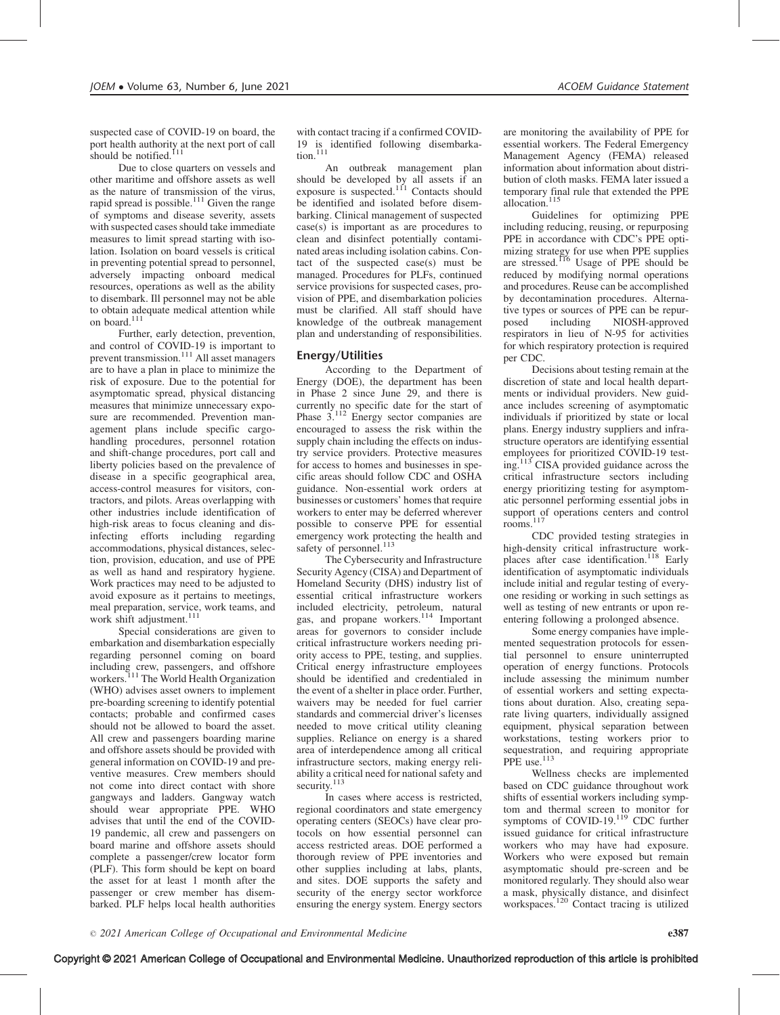suspected case of COVID-19 on board, the port health authority at the next port of call should be notified.<sup>111</sup>

Due to close quarters on vessels and other maritime and offshore assets as well as the nature of transmission of the virus, rapid spread is possible. $111$  Given the range of symptoms and disease severity, assets with suspected cases should take immediate measures to limit spread starting with isolation. Isolation on board vessels is critical in preventing potential spread to personnel, adversely impacting onboard medical resources, operations as well as the ability to disembark. Ill personnel may not be able to obtain adequate medical attention while on board.<sup>111</sup>

Further, early detection, prevention, and control of COVID-19 is important to prevent transmission.<sup>111</sup> All asset managers are to have a plan in place to minimize the risk of exposure. Due to the potential for asymptomatic spread, physical distancing measures that minimize unnecessary exposure are recommended. Prevention management plans include specific cargohandling procedures, personnel rotation and shift-change procedures, port call and liberty policies based on the prevalence of disease in a specific geographical area, access-control measures for visitors, contractors, and pilots. Areas overlapping with other industries include identification of high-risk areas to focus cleaning and disinfecting efforts including regarding accommodations, physical distances, selection, provision, education, and use of PPE as well as hand and respiratory hygiene. Work practices may need to be adjusted to avoid exposure as it pertains to meetings, meal preparation, service, work teams, and work shift adjustment.<sup>111</sup>

Special considerations are given to embarkation and disembarkation especially regarding personnel coming on board including crew, passengers, and offshore<br>workers.<sup>111</sup> The World Health Organization (WHO) advises asset owners to implement pre-boarding screening to identify potential contacts; probable and confirmed cases should not be allowed to board the asset. All crew and passengers boarding marine and offshore assets should be provided with general information on COVID-19 and preventive measures. Crew members should not come into direct contact with shore gangways and ladders. Gangway watch should wear appropriate PPE. WHO advises that until the end of the COVID-19 pandemic, all crew and passengers on board marine and offshore assets should complete a passenger/crew locator form (PLF). This form should be kept on board the asset for at least 1 month after the passenger or crew member has disembarked. PLF helps local health authorities

with contact tracing if a confirmed COVID-19 is identified following disembarkation. $111$ 

An outbreak management plan should be developed by all assets if an exposure is suspected.<sup>111</sup> Contacts should be identified and isolated before disembarking. Clinical management of suspected case(s) is important as are procedures to clean and disinfect potentially contaminated areas including isolation cabins. Contact of the suspected case(s) must be managed. Procedures for PLFs, continued service provisions for suspected cases, provision of PPE, and disembarkation policies must be clarified. All staff should have knowledge of the outbreak management plan and understanding of responsibilities.

## Energy/Utilities

According to the Department of Energy (DOE), the department has been in Phase 2 since June 29, and there is currently no specific date for the start of Phase 3.<sup>112</sup> Energy sector companies are encouraged to assess the risk within the supply chain including the effects on industry service providers. Protective measures for access to homes and businesses in specific areas should follow CDC and OSHA guidance. Non-essential work orders at businesses or customers' homes that require workers to enter may be deferred wherever possible to conserve PPE for essential emergency work protecting the health and safety of personnel.<sup>113</sup>

The Cybersecurity and Infrastructure Security Agency (CISA) and Department of Homeland Security (DHS) industry list of essential critical infrastructure workers included electricity, petroleum, natural gas, and propane workers.<sup>114</sup> Important areas for governors to consider include critical infrastructure workers needing priority access to PPE, testing, and supplies. Critical energy infrastructure employees should be identified and credentialed in the event of a shelter in place order. Further, waivers may be needed for fuel carrier standards and commercial driver's licenses needed to move critical utility cleaning supplies. Reliance on energy is a shared area of interdependence among all critical infrastructure sectors, making energy reliability a critical need for national safety and security.<sup>113</sup>

In cases where access is restricted, regional coordinators and state emergency operating centers (SEOCs) have clear protocols on how essential personnel can access restricted areas. DOE performed a thorough review of PPE inventories and other supplies including at labs, plants, and sites. DOE supports the safety and security of the energy sector workforce ensuring the energy system. Energy sectors

are monitoring the availability of PPE for essential workers. The Federal Emergency Management Agency (FEMA) released information about information about distribution of cloth masks. FEMA later issued a temporary final rule that extended the PPE allocation.<sup>115</sup>

Guidelines for optimizing PPE including reducing, reusing, or repurposing PPE in accordance with CDC's PPE optimizing strategy for use when PPE supplies<br>are stressed.<sup>116</sup> Usage of PPE should be reduced by modifying normal operations and procedures. Reuse can be accomplished by decontamination procedures. Alternative types or sources of PPE can be repurposed including NIOSH-approved respirators in lieu of N-95 for activities for which respiratory protection is required per CDC.

Decisions about testing remain at the discretion of state and local health departments or individual providers. New guidance includes screening of asymptomatic individuals if prioritized by state or local plans. Energy industry suppliers and infrastructure operators are identifying essential employees for prioritized COVID-19 testing.<sup>113</sup> CISA provided guidance across the critical infrastructure sectors including energy prioritizing testing for asymptomatic personnel performing essential jobs in support of operations centers and control rooms.<sup>117</sup>

CDC provided testing strategies in high-density critical infrastructure workplaces after case identification.<sup>118</sup> Early identification of asymptomatic individuals include initial and regular testing of everyone residing or working in such settings as well as testing of new entrants or upon reentering following a prolonged absence.

Some energy companies have implemented sequestration protocols for essential personnel to ensure uninterrupted operation of energy functions. Protocols include assessing the minimum number of essential workers and setting expectations about duration. Also, creating separate living quarters, individually assigned equipment, physical separation between workstations, testing workers prior to sequestration, and requiring appropriate PPE use.<sup>113</sup>

Wellness checks are implemented based on CDC guidance throughout work shifts of essential workers including symptom and thermal screen to monitor for symptoms of COVID-19.<sup>119</sup> CDC further issued guidance for critical infrastructure workers who may have had exposure. Workers who were exposed but remain asymptomatic should pre-screen and be monitored regularly. They should also wear a mask, physically distance, and disinfect workspaces.<sup>120</sup> Contact tracing is utilized

Copyright © 2021 American College of Occupational and Environmental Medicine. Unauthorized reproduction of this article is prohibited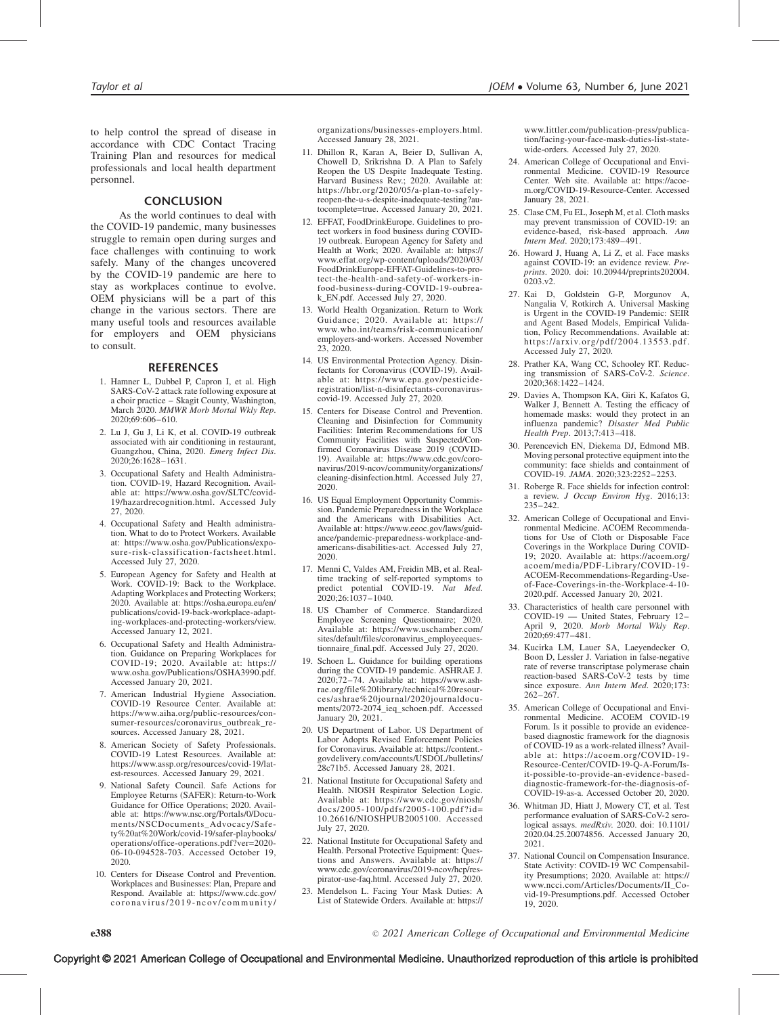to help control the spread of disease in accordance with CDC Contact Tracing Training Plan and resources for medical professionals and local health department personnel.

#### **CONCLUSION**

As the world continues to deal with the COVID-19 pandemic, many businesses struggle to remain open during surges and face challenges with continuing to work safely. Many of the changes uncovered by the COVID-19 pandemic are here to stay as workplaces continue to evolve. OEM physicians will be a part of this change in the various sectors. There are many useful tools and resources available for employers and OEM physicians to consult.

#### REFERENCES

- 1. Hamner L, Dubbel P, Capron I, et al. High SARS-CoV-2 attack rate following exposure at a choir practice – Skagit County, Washington, March 2020. MMWR Morb Mortal Wkly Rep. 2020;69:606–610.
- 2. Lu J, Gu J, Li K, et al. COVID-19 outbreak associated with air conditioning in restaurant, Guangzhou, China, 2020. Emerg Infect Dis. 2020;26:1628–1631.
- 3. Occupational Safety and Health Administration. COVID-19, Hazard Recognition. Available at: [https://www.osha.gov/SLTC/covid-](https://www.osha.gov/SLTC/covid-19/hazardrecognition.html)[19/hazardrecognition.html. Accessed July](https://www.osha.gov/SLTC/covid-19/hazardrecognition.html) [27, 2020.](https://www.osha.gov/SLTC/covid-19/hazardrecognition.html)
- 4. Occupational Safety and Health administration. What to do to Protect Workers. Available at: [https://www.osha.gov/Publications/expo](https://www.osha.gov/Publications/exposure-risk-classification-factsheet.html)[sure-risk-classification-factsheet.html.](https://www.osha.gov/Publications/exposure-risk-classification-factsheet.html) [Accessed July 27, 2020.](https://www.osha.gov/Publications/exposure-risk-classification-factsheet.html)
- 5. European Agency for Safety and Health at Work. COVID-19: Back to the Workplace. Adapting Workplaces and Protecting Workers; 2020. Available at: [https://osha.europa.eu/en/](https://osha.europa.eu/en/publications/covid-19-back-workplace-adapting-workplaces-and-protecting-workers/view) [publications/covid-19-back-workplace-adapt](https://osha.europa.eu/en/publications/covid-19-back-workplace-adapting-workplaces-and-protecting-workers/view)[ing-workplaces-and-protecting-workers/view.](https://osha.europa.eu/en/publications/covid-19-back-workplace-adapting-workplaces-and-protecting-workers/view) [Accessed January 12, 2021.](https://osha.europa.eu/en/publications/covid-19-back-workplace-adapting-workplaces-and-protecting-workers/view)
- 6. Occupational Safety and Health Administration. Guidance on Preparing Workplaces for COVID-19; 2020. Available at: [https://](https://www.osha.gov/Publications/OSHA3990.pdf) [www.osha.gov/Publications/OSHA3990.pdf.](https://www.osha.gov/Publications/OSHA3990.pdf) [Accessed January 20, 2021.](https://www.osha.gov/Publications/OSHA3990.pdf)
- 7. American Industrial Hygiene Association. COVID-19 Resource Center. Available at: [https://www.aiha.org/public-resources/con](https://www.aiha.org/public-resources/consumer-resources/coronavirus_outbreak_resources)[sumer-resources/coronavirus\\_outbreak\\_re](https://www.aiha.org/public-resources/consumer-resources/coronavirus_outbreak_resources)[sources. Accessed January 28, 2021.](https://www.aiha.org/public-resources/consumer-resources/coronavirus_outbreak_resources)
- 8. American Society of Safety Professionals. COVID-19 Latest Resources. Available at: [https://www.assp.org/resources/covid-19/lat](https://www.assp.org/resources/covid-19/latest-resources)[est-resources. Accessed January 29, 2021.](https://www.assp.org/resources/covid-19/latest-resources)
- 9. National Safety Council. Safe Actions for Employee Returns (SAFER): Return-to-Work Guidance for Office Operations; 2020. Available at: [https://www.nsc.org/Portals/0/Docu](https://www.nsc.org/Portals/0/Documents/NSCDocuments_Advocacy/Safety%20at%20Work/covid-19/safer-playbooks/operations/office-operations.pdf?ver=2020-06-10-094528-703)[ments/NSCDocuments\\_Advocacy/Safe](https://www.nsc.org/Portals/0/Documents/NSCDocuments_Advocacy/Safety%20at%20Work/covid-19/safer-playbooks/operations/office-operations.pdf?ver=2020-06-10-094528-703)[ty%20at%20Work/covid-19/safer-playbooks/](https://www.nsc.org/Portals/0/Documents/NSCDocuments_Advocacy/Safety%20at%20Work/covid-19/safer-playbooks/operations/office-operations.pdf?ver=2020-06-10-094528-703) [operations/office-operations.pdf?ver=2020-](https://www.nsc.org/Portals/0/Documents/NSCDocuments_Advocacy/Safety%20at%20Work/covid-19/safer-playbooks/operations/office-operations.pdf?ver=2020-06-10-094528-703) [06-10-094528-703. Accessed October 19,](https://www.nsc.org/Portals/0/Documents/NSCDocuments_Advocacy/Safety%20at%20Work/covid-19/safer-playbooks/operations/office-operations.pdf?ver=2020-06-10-094528-703) [2020.](https://www.nsc.org/Portals/0/Documents/NSCDocuments_Advocacy/Safety%20at%20Work/covid-19/safer-playbooks/operations/office-operations.pdf?ver=2020-06-10-094528-703)
- 10. Centers for Disease Control and Prevention. Workplaces and Businesses: Plan, Prepare and Respond. Available at: [https://www.cdc.gov/](https://www.cdc.gov/coronavirus/2019-ncov/community/organizations/businesses-employers.html) [coronavirus/2019-ncov/community/](https://www.cdc.gov/coronavirus/2019-ncov/community/organizations/businesses-employers.html)

[organizations/businesses-employers.html.](https://www.cdc.gov/coronavirus/2019-ncov/community/organizations/businesses-employers.html) [Accessed January 28, 2021.](https://www.cdc.gov/coronavirus/2019-ncov/community/organizations/businesses-employers.html)

- 11. Dhillon R, Karan A, Beier D, Sullivan A, Chowell D, Srikrishna D. A Plan to Safely Reopen the US Despite Inadequate Testing. Harvard Business Rev.; 2020. Available at: [https://hbr.org/2020/05/a-plan-to-safely](https://hbr.org/2020/05/a-plan-to-safely-reopen-the-u-s-despite-inadequate-testing?autocomplete=true)[reopen-the-u-s-despite-inadequate-testing?au](https://hbr.org/2020/05/a-plan-to-safely-reopen-the-u-s-despite-inadequate-testing?autocomplete=true)[tocomplete=true. Accessed January 20, 2021.](https://hbr.org/2020/05/a-plan-to-safely-reopen-the-u-s-despite-inadequate-testing?autocomplete=true)
- 12. EFFAT, FoodDrinkEurope. Guidelines to protect workers in food business during COVID-19 outbreak. European Agency for Safety and Health at Work; 2020. Available at: [https://](https://www.effat.org/wp-content/uploads/2020/03/FoodDrinkEurope-EFFAT-Guidelines-to-protect-the-health-and-safety-of-workers-in-food-business-during-COVID-19-oubreak_EN.pdf) [www.effat.org/wp-content/uploads/2020/03/](https://www.effat.org/wp-content/uploads/2020/03/FoodDrinkEurope-EFFAT-Guidelines-to-protect-the-health-and-safety-of-workers-in-food-business-during-COVID-19-oubreak_EN.pdf) [FoodDrinkEurope-EFFAT-Guidelines-to-pro](https://www.effat.org/wp-content/uploads/2020/03/FoodDrinkEurope-EFFAT-Guidelines-to-protect-the-health-and-safety-of-workers-in-food-business-during-COVID-19-oubreak_EN.pdf)[tect-the-health-and-safety-of-workers-in](https://www.effat.org/wp-content/uploads/2020/03/FoodDrinkEurope-EFFAT-Guidelines-to-protect-the-health-and-safety-of-workers-in-food-business-during-COVID-19-oubreak_EN.pdf)[food-business-during-COVID-19-oubrea](https://www.effat.org/wp-content/uploads/2020/03/FoodDrinkEurope-EFFAT-Guidelines-to-protect-the-health-and-safety-of-workers-in-food-business-during-COVID-19-oubreak_EN.pdf)[k\\_EN.pdf. Accessed July 27, 2020.](https://www.effat.org/wp-content/uploads/2020/03/FoodDrinkEurope-EFFAT-Guidelines-to-protect-the-health-and-safety-of-workers-in-food-business-during-COVID-19-oubreak_EN.pdf)
- 13. World Health Organization. Return to Work Guidance; 2020. Available at: [https://](https://www.who.int/teams/risk-communication/employers-and-workers) [www.who.int/teams/risk-communication/](https://www.who.int/teams/risk-communication/employers-and-workers) [employers-and-workers. Accessed November](https://www.who.int/teams/risk-communication/employers-and-workers) [23, 2020.](https://www.who.int/teams/risk-communication/employers-and-workers)
- 14. US Environmental Protection Agency. Disinfectants for Coronavirus (COVID-19). Available at: [https://www.epa.gov/pesticide](https://www.epa.gov/pesticide-registration/list-n-disinfectants-coronavirus-covid-19)[registration/list-n-disinfectants-coronavirus](https://www.epa.gov/pesticide-registration/list-n-disinfectants-coronavirus-covid-19)[covid-19. Accessed July 27, 2020.](https://www.epa.gov/pesticide-registration/list-n-disinfectants-coronavirus-covid-19)
- 15. Centers for Disease Control and Prevention. Cleaning and Disinfection for Community Facilities: Interim Recommendations for US Community Facilities with Suspected/Con-firmed Coronavirus Disease 2019 (COVID-19). Available at: [https://www.cdc.gov/coro](https://www.cdc.gov/coronavirus/2019-ncov/community/organizations/cleaning-disinfection.html)[navirus/2019-ncov/community/organizations/](https://www.cdc.gov/coronavirus/2019-ncov/community/organizations/cleaning-disinfection.html) [cleaning-disinfection.html. Accessed July 27,](https://www.cdc.gov/coronavirus/2019-ncov/community/organizations/cleaning-disinfection.html) [2020.](https://www.cdc.gov/coronavirus/2019-ncov/community/organizations/cleaning-disinfection.html)
- 16. US Equal Employment Opportunity Commission. Pandemic Preparedness in the Workplace and the Americans with Disabilities Act. Available at: [https://www.eeoc.gov/laws/guid](https://www.eeoc.gov/laws/guidance/pandemic-preparedness-workplace-and-americans-disabilities-act)[ance/pandemic-preparedness-workplace-and](https://www.eeoc.gov/laws/guidance/pandemic-preparedness-workplace-and-americans-disabilities-act)[americans-disabilities-act. Accessed July 27,](https://www.eeoc.gov/laws/guidance/pandemic-preparedness-workplace-and-americans-disabilities-act) [2020.](https://www.eeoc.gov/laws/guidance/pandemic-preparedness-workplace-and-americans-disabilities-act)
- 17. Menni C, Valdes AM, Freidin MB, et al. Realtime tracking of self-reported symptoms to predict potential COVID-19. Nat Med. 2020;26:1037–1040.
- 18. US Chamber of Commerce. Standardized Employee Screening Questionnaire; 2020. Available at: [https://www.uschamber.com/](https://www.uschamber.com/sites/default/files/coronavirus_employeequestionnaire_final.pdf) [sites/default/files/coronavirus\\_employeeques](https://www.uschamber.com/sites/default/files/coronavirus_employeequestionnaire_final.pdf)[tionnaire\\_final.pdf. Accessed July 27, 2020.](https://www.uschamber.com/sites/default/files/coronavirus_employeequestionnaire_final.pdf)
- 19. Schoen L. Guidance for building operations during the COVID-19 pandemic. ASHRAE J. 2020;72–74. Available at: [https://www.ash](https://www.ashrae.org/file%20library/technical%20resources/ashrae%20journal/2020journaldocuments/2072-2074_ieq_schoen.pdf)[rae.org/file%20library/technical%20resour](https://www.ashrae.org/file%20library/technical%20resources/ashrae%20journal/2020journaldocuments/2072-2074_ieq_schoen.pdf)[ces/ashrae%20journal/2020journaldocu](https://www.ashrae.org/file%20library/technical%20resources/ashrae%20journal/2020journaldocuments/2072-2074_ieq_schoen.pdf)[ments/2072-2074\\_ieq\\_schoen.pdf. Accessed](https://www.ashrae.org/file%20library/technical%20resources/ashrae%20journal/2020journaldocuments/2072-2074_ieq_schoen.pdf) [January 20, 2021.](https://www.ashrae.org/file%20library/technical%20resources/ashrae%20journal/2020journaldocuments/2072-2074_ieq_schoen.pdf)
- 20. US Department of Labor. US Department of Labor Adopts Revised Enforcement Policies for Coronavirus. Available at: [https://content.](https://content.govdelivery.com/accounts/USDOL/bulletins/28c71b5) [govdelivery.com/accounts/USDOL/bulletins/](https://content.govdelivery.com/accounts/USDOL/bulletins/28c71b5) [28c71b5. Accessed January 28, 2021.](https://content.govdelivery.com/accounts/USDOL/bulletins/28c71b5)
- 21. National Institute for Occupational Safety and Health. NIOSH Respirator Selection Logic. Available at: [https://www.cdc.gov/niosh/](https://www.cdc.gov/niosh/docs/2005-100/pdfs/2005-100.pdf?id=10.26616/NIOSHPUB2005100) [docs/2005-100/pdfs/2005-100.pdf?id=](https://www.cdc.gov/niosh/docs/2005-100/pdfs/2005-100.pdf?id=10.26616/NIOSHPUB2005100) [10.26616/NIOSHPUB2005100. Accessed](https://www.cdc.gov/niosh/docs/2005-100/pdfs/2005-100.pdf?id=10.26616/NIOSHPUB2005100) [July 27, 2020.](https://www.cdc.gov/niosh/docs/2005-100/pdfs/2005-100.pdf?id=10.26616/NIOSHPUB2005100)
- 22. National Institute for Occupational Safety and Health. Personal Protective Equipment: Questions and Answers. Available at: [https://](https://www.cdc.gov/coronavirus/2019-ncov/hcp/respirator-use-faq.html) [www.cdc.gov/coronavirus/2019-ncov/hcp/res](https://www.cdc.gov/coronavirus/2019-ncov/hcp/respirator-use-faq.html)[pirator-use-faq.html. Accessed July 27, 2020.](https://www.cdc.gov/coronavirus/2019-ncov/hcp/respirator-use-faq.html)
- 23. Mendelson L. Facing Your Mask Duties: A List of Statewide Orders. Available at: [https://](https://www.littler.com/publication-press/publication/facing-your-face-mask-duties-list-statewide-orders)

[www.littler.com/publication-press/publica](https://www.littler.com/publication-press/publication/facing-your-face-mask-duties-list-statewide-orders)[tion/facing-your-face-mask-duties-list-state](https://www.littler.com/publication-press/publication/facing-your-face-mask-duties-list-statewide-orders)[wide-orders. Accessed July 27, 2020.](https://www.littler.com/publication-press/publication/facing-your-face-mask-duties-list-statewide-orders)

- 24. American College of Occupational and Environmental Medicine. COVID-19 Resource Center. Web site. Available at: [https://acoe](https://acoem.org/COVID-19-Resource-Center)[m.org/COVID-19-Resource-Center. Accessed](https://acoem.org/COVID-19-Resource-Center) [January 28, 2021.](https://acoem.org/COVID-19-Resource-Center)
- 25. Clase CM, Fu EL, Joseph M, et al. Cloth masks may prevent transmission of COVID-19: an evidence-based, risk-based approach. Ann Intern Med. 2020;173:489–491.
- 26. Howard J, Huang A, Li Z, et al. Face masks against COVID-19: an evidence review. Pre-prints. 2020. doi: 10.20944/preprints202004. 0203.v2.
- 27. Kai D, Goldstein G-P, Morgunov A, Nangalia V, Rotkirch A. Universal Masking is Urgent in the COVID-19 Pandemic: SEIR and Agent Based Models, Empirical Validation, Policy Recommendations. Available at: [https://arxiv.org/pdf/2004.13553.pdf.](https://arxiv.org/pdf/2004.13553.pdf) [Accessed July 27, 2020.](https://arxiv.org/pdf/2004.13553.pdf)
- 28. Prather KA, Wang CC, Schooley RT. Reducing transmission of SARS-CoV-2. Science. 2020;368:1422–1424.
- 29. Davies A, Thompson KA, Giri K, Kafatos G, Walker J, Bennett A. Testing the efficacy of homemade masks: would they protect in an influenza pandemic? Disaster Med Public Health Prep. 2013;7:413–418.
- 30. Perencevich EN, Diekema DJ, Edmond MB. Moving personal protective equipment into the community: face shields and containment of COVID-19. JAMA. 2020;323:2252–2253.
- 31. Roberge R. Face shields for infection control: a review. J Occup Environ Hyg. 2016;13: 235–242.
- 32. American College of Occupational and Environmental Medicine. ACOEM Recommendations for Use of Cloth or Disposable Face Coverings in the Workplace During COVID-19; 2020. Available at: [https://acoem.org/](https://acoem.org/acoem/media/PDF-Library/COVID-19-ACOEM-Recommendations-Regarding-Use-of-Face-Coverings-in-the-Workplace-4-10-2020.pdf) [acoem/media/PDF-Library/COVID-19-](https://acoem.org/acoem/media/PDF-Library/COVID-19-ACOEM-Recommendations-Regarding-Use-of-Face-Coverings-in-the-Workplace-4-10-2020.pdf) [ACOEM-Recommendations-Regarding-Use](https://acoem.org/acoem/media/PDF-Library/COVID-19-ACOEM-Recommendations-Regarding-Use-of-Face-Coverings-in-the-Workplace-4-10-2020.pdf)[of-Face-Coverings-in-the-Workplace-4-10-](https://acoem.org/acoem/media/PDF-Library/COVID-19-ACOEM-Recommendations-Regarding-Use-of-Face-Coverings-in-the-Workplace-4-10-2020.pdf) [2020.pdf. Accessed January 20, 2021.](https://acoem.org/acoem/media/PDF-Library/COVID-19-ACOEM-Recommendations-Regarding-Use-of-Face-Coverings-in-the-Workplace-4-10-2020.pdf)
- 33. Characteristics of health care personnel with COVID-19 — United States, February 12– April 9, 2020. Morb Mortal Wkly Rep. 2020;69:477–481.
- 34. Kucirka LM, Lauer SA, Laeyendecker O, Boon D, Lessler J. Variation in false-negative rate of reverse transcriptase polymerase chain reaction-based SARS-CoV-2 tests by time since exposure. Ann Intern Med. 2020;173: 262–267.
- 35. American College of Occupational and Environmental Medicine. ACOEM COVID-19 Forum. Is it possible to provide an evidencebased diagnostic framework for the diagnosis of COVID-19 as a work-related illness? Available at: [https://acoem.org/COVID-19-](https://acoem.org/COVID-19-Resource-Center/COVID-19-Q-A-Forum/Is-it-possible-to-provide-an-evidence-based-diagnostic-framework-for-the-diagnosis-of-COVID-19-as-a) [Resource-Center/COVID-19-Q-A-Forum/Is](https://acoem.org/COVID-19-Resource-Center/COVID-19-Q-A-Forum/Is-it-possible-to-provide-an-evidence-based-diagnostic-framework-for-the-diagnosis-of-COVID-19-as-a)[it-possible-to-provide-an-evidence-based](https://acoem.org/COVID-19-Resource-Center/COVID-19-Q-A-Forum/Is-it-possible-to-provide-an-evidence-based-diagnostic-framework-for-the-diagnosis-of-COVID-19-as-a)[diagnostic-framework-for-the-diagnosis-of-](https://acoem.org/COVID-19-Resource-Center/COVID-19-Q-A-Forum/Is-it-possible-to-provide-an-evidence-based-diagnostic-framework-for-the-diagnosis-of-COVID-19-as-a)[COVID-19-as-a. Accessed October 20, 2020.](https://acoem.org/COVID-19-Resource-Center/COVID-19-Q-A-Forum/Is-it-possible-to-provide-an-evidence-based-diagnostic-framework-for-the-diagnosis-of-COVID-19-as-a)
- 36. Whitman JD, Hiatt J, Mowery CT, et al. Test performance evaluation of SARS-CoV-2 serological assays. medRxiv. 2020. doi: 10.1101/ 2020.04.25.20074856. Accessed January 20, 2021.
- 37. National Council on Compensation Insurance. State Activity: COVID-19 WC Compensability Presumptions; 2020. Available at: [https://](https://www.ncci.com/Articles/Documents/II_Covid-19-Presumptions.pdf) [www.ncci.com/Articles/Documents/II\\_Co](https://www.ncci.com/Articles/Documents/II_Covid-19-Presumptions.pdf)[vid-19-Presumptions.pdf. Accessed October](https://www.ncci.com/Articles/Documents/II_Covid-19-Presumptions.pdf) [19, 2020.](https://www.ncci.com/Articles/Documents/II_Covid-19-Presumptions.pdf)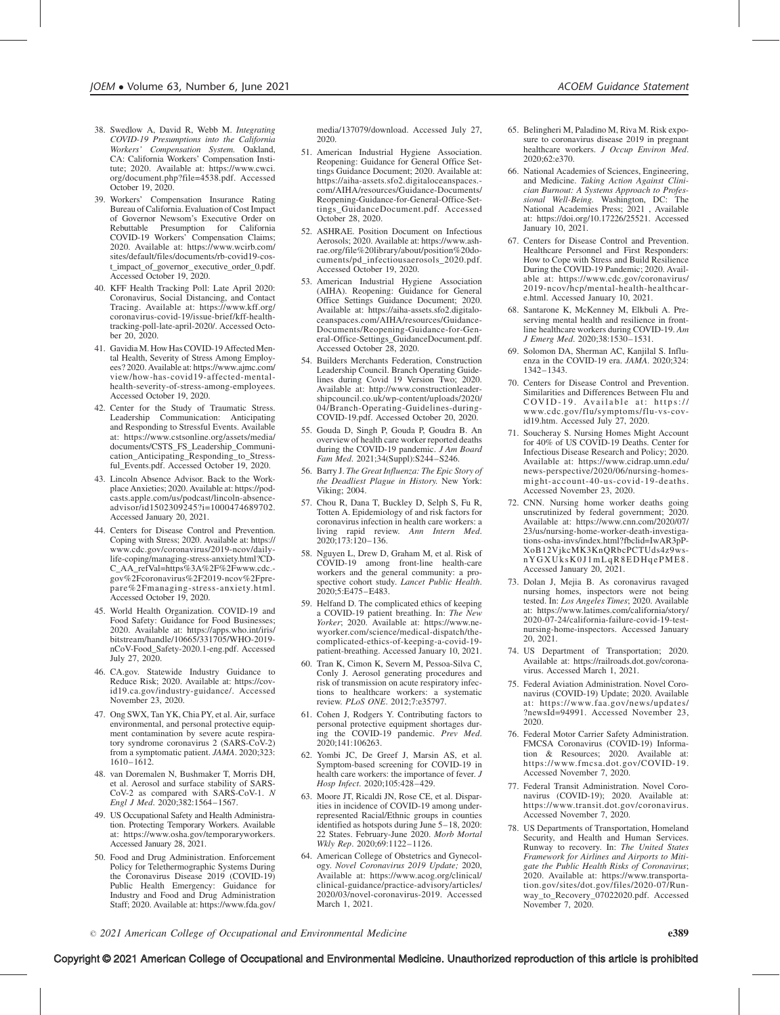- 38. Swedlow A, David R, Webb M. Integrating COVID-19 Presumptions into the California Workers' Compensation System. Oakland, CA: California Workers' Compensation Institute; 2020. Available at: [https://www.cwci.](https://www.cwci.org/document.php?file=4538.pdf) [org/document.php?file=4538.pdf.](https://www.cwci.org/document.php?file=4538.pdf) Accessed October 19, 2020.
- 39. Workers' Compensation Insurance Rating Bureau of California. Evaluation of Cost Impact of Governor Newsom's Executive Order on Rebuttable Presumption for California COVID-19 Workers' Compensation Claims; 2020. Available at: [https://www.wcirb.com/](https://www.wcirb.com/sites/default/files/documents/rb-covid19-cost_impact_of_governor_%20executive_order_0.pdf) [sites/default/files/documents/rb-covid19-cos](https://www.wcirb.com/sites/default/files/documents/rb-covid19-cost_impact_of_governor_%20executive_order_0.pdf)[t\\_impact\\_of\\_governor\\_ executive\\_order\\_0.pdf.](https://www.wcirb.com/sites/default/files/documents/rb-covid19-cost_impact_of_governor_%20executive_order_0.pdf) [Accessed October 19, 2020.](https://www.wcirb.com/sites/default/files/documents/rb-covid19-cost_impact_of_governor_%20executive_order_0.pdf)
- 40. KFF Health Tracking Poll: Late April 2020: Coronavirus, Social Distancing, and Contact Tracing. Available at: [https://www.kff.org/](https://www.kff.org/coronavirus-covid-19/issue-brief/kff-health-tracking-poll-late-april-2020/) [coronavirus-covid-19/issue-brief/kff-health](https://www.kff.org/coronavirus-covid-19/issue-brief/kff-health-tracking-poll-late-april-2020/)[tracking-poll-late-april-2020/. Accessed Octo](https://www.kff.org/coronavirus-covid-19/issue-brief/kff-health-tracking-poll-late-april-2020/)[ber 20, 2020.](https://www.kff.org/coronavirus-covid-19/issue-brief/kff-health-tracking-poll-late-april-2020/)
- 41. Gavidia M. How Has COVID-19 Affected Mental Health, Severity of Stress Among Employees? 2020. Available at: [https://www.ajmc.com/](https://www.ajmc.com/view/how-has-covid19-affected-mental-health-severity-of-stress-among-employees) [view/how-has-covid19-affected-mental](https://www.ajmc.com/view/how-has-covid19-affected-mental-health-severity-of-stress-among-employees)[health-severity-of-stress-among-employees.](https://www.ajmc.com/view/how-has-covid19-affected-mental-health-severity-of-stress-among-employees) [Accessed October 19, 2020.](https://www.ajmc.com/view/how-has-covid19-affected-mental-health-severity-of-stress-among-employees)
- 42. Center for the Study of Traumatic Stress. Leadership Communication: Anticipating and Responding to Stressful Events. Available at: [https://www.cstsonline.org/assets/media/](https://www.cstsonline.org/assets/media/documents/CSTS_FS_Leadership_Communication_Anticipating_Responding_to_Stressful_Events.pdf) [documents/CSTS\\_FS\\_Leadership\\_Communi](https://www.cstsonline.org/assets/media/documents/CSTS_FS_Leadership_Communication_Anticipating_Responding_to_Stressful_Events.pdf)[cation\\_Anticipating\\_Responding\\_to\\_Stress](https://www.cstsonline.org/assets/media/documents/CSTS_FS_Leadership_Communication_Anticipating_Responding_to_Stressful_Events.pdf)[ful\\_Events.pdf. Accessed October 19, 2020.](https://www.cstsonline.org/assets/media/documents/CSTS_FS_Leadership_Communication_Anticipating_Responding_to_Stressful_Events.pdf)
- 43. Lincoln Absence Advisor. Back to the Workplace Anxieties; 2020. Available at: [https://pod](https://podcasts.apple.com/us/podcast/lincoln-absence-advisor/id1502309245?i=1000474689702)[casts.apple.com/us/podcast/lincoln-absence](https://podcasts.apple.com/us/podcast/lincoln-absence-advisor/id1502309245?i=1000474689702)[advisor/id1502309245?i=1000474689702.](https://podcasts.apple.com/us/podcast/lincoln-absence-advisor/id1502309245?i=1000474689702) [Accessed January 20, 2021.](https://podcasts.apple.com/us/podcast/lincoln-absence-advisor/id1502309245?i=1000474689702)
- 44. Centers for Disease Control and Prevention. Coping with Stress; 2020. Available at: [https://](https://www.cdc.gov/coronavirus/2019-ncov/daily-life-coping/managing-stress-anxiety.html?CDC_AA_refVal=https%3A%2F%2Fwww.cdc.gov%2Fcoronavirus%2F2019-ncov%2Fprepare%2Fmanaging-stress-anxiety.html) [www.cdc.gov/coronavirus/2019-ncov/daily](https://www.cdc.gov/coronavirus/2019-ncov/daily-life-coping/managing-stress-anxiety.html?CDC_AA_refVal=https%3A%2F%2Fwww.cdc.gov%2Fcoronavirus%2F2019-ncov%2Fprepare%2Fmanaging-stress-anxiety.html)[life-coping/managing-stress-anxiety.html?CD-](https://www.cdc.gov/coronavirus/2019-ncov/daily-life-coping/managing-stress-anxiety.html?CDC_AA_refVal=https%3A%2F%2Fwww.cdc.gov%2Fcoronavirus%2F2019-ncov%2Fprepare%2Fmanaging-stress-anxiety.html)[C\\_AA\\_refVal=https%3A%2F%2Fwww.cdc.](https://www.cdc.gov/coronavirus/2019-ncov/daily-life-coping/managing-stress-anxiety.html?CDC_AA_refVal=https%3A%2F%2Fwww.cdc.gov%2Fcoronavirus%2F2019-ncov%2Fprepare%2Fmanaging-stress-anxiety.html) [gov%2Fcoronavirus%2F2019-ncov%2Fpre](https://www.cdc.gov/coronavirus/2019-ncov/daily-life-coping/managing-stress-anxiety.html?CDC_AA_refVal=https%3A%2F%2Fwww.cdc.gov%2Fcoronavirus%2F2019-ncov%2Fprepare%2Fmanaging-stress-anxiety.html)[pare%2Fmanaging-stress-anxiety.html.](https://www.cdc.gov/coronavirus/2019-ncov/daily-life-coping/managing-stress-anxiety.html?CDC_AA_refVal=https%3A%2F%2Fwww.cdc.gov%2Fcoronavirus%2F2019-ncov%2Fprepare%2Fmanaging-stress-anxiety.html) [Accessed October 19, 2020.](https://www.cdc.gov/coronavirus/2019-ncov/daily-life-coping/managing-stress-anxiety.html?CDC_AA_refVal=https%3A%2F%2Fwww.cdc.gov%2Fcoronavirus%2F2019-ncov%2Fprepare%2Fmanaging-stress-anxiety.html)
- 45. World Health Organization. COVID-19 and Food Safety: Guidance for Food Businesses; 2020. Available at: [https://apps.who.int/iris/](https://apps.who.int/iris/bitstream/handle/10665/331705/WHO-2019-nCoV-Food_Safety-2020.1-eng.pdf) [bitstream/handle/10665/331705/WHO-2019](https://apps.who.int/iris/bitstream/handle/10665/331705/WHO-2019-nCoV-Food_Safety-2020.1-eng.pdf) [nCoV-Food\\_Safety-2020.1-eng.pdf. Accessed](https://apps.who.int/iris/bitstream/handle/10665/331705/WHO-2019-nCoV-Food_Safety-2020.1-eng.pdf) [July 27, 2020.](https://apps.who.int/iris/bitstream/handle/10665/331705/WHO-2019-nCoV-Food_Safety-2020.1-eng.pdf)
- 46. CA.gov. Statewide Industry Guidance to Reduce Risk; 2020. Available at: [https://cov](https://covid19.ca.gov/industry-guidance/)[id19.ca.gov/industry-guidance/. Accessed](https://covid19.ca.gov/industry-guidance/) [November 23, 2020.](https://covid19.ca.gov/industry-guidance/)
- 47. Ong SWX, Tan YK, Chia PY, et al. Air, surface environmental, and personal protective equipment contamination by severe acute respiratory syndrome coronavirus 2 (SARS-CoV-2) from a symptomatic patient. JAMA. 2020;323: 1610–1612.
- 48. van Doremalen N, Bushmaker T, Morris DH, et al. Aerosol and surface stability of SARS-CoV-2 as compared with SARS-CoV-1. N Engl J Med. 2020;382:1564-1567.
- 49. US Occupational Safety and Health Administration. Protecting Temporary Workers. Available at: [https://www.osha.gov/temporaryworkers.](https://www.osha.gov/temporaryworkers) [Accessed January 28, 2021.](https://www.osha.gov/temporaryworkers)
- 50. Food and Drug Administration. Enforcement Policy for Telethermographic Systems During the Coronavirus Disease 2019 (COVID-19) Public Health Emergency: Guidance for Industry and Food and Drug Administration Staff; 2020. Available at: [https://www.fda.gov/](https://www.fda.gov/media/137079/download)

[media/137079/download. Accessed July 27,](https://www.fda.gov/media/137079/download) [2020.](https://www.fda.gov/media/137079/download)

- 51. American Industrial Hygiene Association. Reopening: Guidance for General Office Settings Guidance Document; 2020. Available at: [https://aiha-assets.sfo2.digitaloceanspaces.](https://aiha-assets.sfo2.digitaloceanspaces.com/AIHA/resources/Guidance-Documents/Reopening-Guidance-for-General-Office-Settings_GuidanceDocument.pdf) [com/AIHA/resources/Guidance-Documents/](https://aiha-assets.sfo2.digitaloceanspaces.com/AIHA/resources/Guidance-Documents/Reopening-Guidance-for-General-Office-Settings_GuidanceDocument.pdf) [Reopening-Guidance-for-General-Office-Set](https://aiha-assets.sfo2.digitaloceanspaces.com/AIHA/resources/Guidance-Documents/Reopening-Guidance-for-General-Office-Settings_GuidanceDocument.pdf)[tings\\_GuidanceDocument.pdf. Accessed](https://aiha-assets.sfo2.digitaloceanspaces.com/AIHA/resources/Guidance-Documents/Reopening-Guidance-for-General-Office-Settings_GuidanceDocument.pdf) [October 28, 2020.](https://aiha-assets.sfo2.digitaloceanspaces.com/AIHA/resources/Guidance-Documents/Reopening-Guidance-for-General-Office-Settings_GuidanceDocument.pdf)
- 52. ASHRAE. Position Document on Infectious Aerosols; 2020. Available at: [https://www.ash](https://www.ashrae.org/file%20library/about/position%20documents/pd_infectiousaerosols_2020.pdf)[rae.org/file%20library/about/position%20do](https://www.ashrae.org/file%20library/about/position%20documents/pd_infectiousaerosols_2020.pdf)[cuments/pd\\_infectiousaerosols\\_2020.pdf.](https://www.ashrae.org/file%20library/about/position%20documents/pd_infectiousaerosols_2020.pdf) [Accessed October 19, 2020.](https://www.ashrae.org/file%20library/about/position%20documents/pd_infectiousaerosols_2020.pdf)
- 53. American Industrial Hygiene Association (AIHA). Reopening: Guidance for General Office Settings Guidance Document; 2020. Available at: [https://aiha-assets.sfo2.digitalo](https://aiha-assets.sfo2.digitaloceanspaces.com/AIHA/resources/Guidance-Documents/Reopening-Guidance-for-General-Office-Settings_GuidanceDocument.pdf)[ceanspaces.com/AIHA/resources/Guidance-](https://aiha-assets.sfo2.digitaloceanspaces.com/AIHA/resources/Guidance-Documents/Reopening-Guidance-for-General-Office-Settings_GuidanceDocument.pdf)[Documents/Reopening-Guidance-for-Gen](https://aiha-assets.sfo2.digitaloceanspaces.com/AIHA/resources/Guidance-Documents/Reopening-Guidance-for-General-Office-Settings_GuidanceDocument.pdf)[eral-Office-Settings\\_GuidanceDocument.pdf.](https://aiha-assets.sfo2.digitaloceanspaces.com/AIHA/resources/Guidance-Documents/Reopening-Guidance-for-General-Office-Settings_GuidanceDocument.pdf) [Accessed October 28, 2020.](https://aiha-assets.sfo2.digitaloceanspaces.com/AIHA/resources/Guidance-Documents/Reopening-Guidance-for-General-Office-Settings_GuidanceDocument.pdf)
- 54. Builders Merchants Federation, Construction Leadership Council. Branch Operating Guidelines during Covid 19 Version Two; 2020. Available at: [http://www.constructionleader](http://www.constructionleadershipcouncil.co.uk/wp-content/uploads/2020/04/Branch-Operating-Guidelines-during-COVID-19.pdf)[shipcouncil.co.uk/wp-content/uploads/2020/](http://www.constructionleadershipcouncil.co.uk/wp-content/uploads/2020/04/Branch-Operating-Guidelines-during-COVID-19.pdf) [04/Branch-Operating-Guidelines-during-](http://www.constructionleadershipcouncil.co.uk/wp-content/uploads/2020/04/Branch-Operating-Guidelines-during-COVID-19.pdf)[COVID-19.pdf. Accessed October 20, 2020.](http://www.constructionleadershipcouncil.co.uk/wp-content/uploads/2020/04/Branch-Operating-Guidelines-during-COVID-19.pdf)
- 55. Gouda D, Singh P, Gouda P, Goudra B. An overview of health care worker reported deaths during the COVID-19 pandemic. *J Am Board* Fam Med. 2021;34(Suppl):S244–S246.
- 56. Barry J. The Great Influenza: The Epic Story of the Deadliest Plague in History. New York: Viking; 2004.
- 57. Chou R, Dana T, Buckley D, Selph S, Fu R, Totten A. Epidemiology of and risk factors for coronavirus infection in health care workers: a living rapid review. Ann Intern Med. 2020;173:120–136.
- 58. Nguyen L, Drew D, Graham M, et al. Risk of COVID-19 among front-line health-care workers and the general community: a prospective cohort study. Lancet Public Health. 2020;5:E475–E483.
- 59. Helfand D. The complicated ethics of keeping a COVID-19 patient breathing. In: The New Yorker; 2020. Available at: [https://www.ne](https://www.newyorker.com/science/medical-dispatch/the-complicated-ethics-of-keeping-a-covid-19-patient-breathing)[wyorker.com/science/medical-dispatch/the](https://www.newyorker.com/science/medical-dispatch/the-complicated-ethics-of-keeping-a-covid-19-patient-breathing)[complicated-ethics-of-keeping-a-covid-19](https://www.newyorker.com/science/medical-dispatch/the-complicated-ethics-of-keeping-a-covid-19-patient-breathing) [patient-breathing.](https://www.newyorker.com/science/medical-dispatch/the-complicated-ethics-of-keeping-a-covid-19-patient-breathing) Accessed January 10, 2021.
- 60. Tran K, Cimon K, Severn M, Pessoa-Silva C, Conly J. Aerosol generating procedures and risk of transmission on acute respiratory infections to healthcare workers: a systematic review. PLoS ONE. 2012;7:e35797.
- 61. Cohen J, Rodgers Y. Contributing factors to personal protective equipment shortages during the COVID-19 pandemic. Prev Med. 2020;141:106263.
- 62. Yombi JC, De Greef J, Marsin AS, et al. Symptom-based screening for COVID-19 in health care workers: the importance of fever. J Hosp Infect. 2020;105:428–429.
- 63. Moore JT, Ricaldi JN, Rose CE, et al. Disparities in incidence of COVID-19 among underrepresented Racial/Ethnic groups in counties identified as hotspots during June 5–18, 2020: 22 States. February-June 2020. Morb Mortal Wkly Rep. 2020;69:1122-1126.
- 64. American College of Obstetrics and Gynecology. Novel Coronavirus 2019 Update; 2020, Available at: [https://www.acog.org/clinical/](https://www.acog.org/clinical/clinical-guidance/practice-advisory/articles/2020/03/novel-coronavirus-2019) [clinical-guidance/practice-advisory/articles/](https://www.acog.org/clinical/clinical-guidance/practice-advisory/articles/2020/03/novel-coronavirus-2019) [2020/03/novel-coronavirus-2019.](https://www.acog.org/clinical/clinical-guidance/practice-advisory/articles/2020/03/novel-coronavirus-2019) Accessed March 1, 2021.
- 65. Belingheri M, Paladino M, Riva M. Risk exposure to coronavirus disease 2019 in pregnant healthcare workers. J Occup Environ Med. 2020;62:e370.
- 66. National Academies of Sciences, Engineering, and Medicine. Taking Action Against Clinician Burnout: A Systems Approach to Professional Well-Being. Washington, DC: The National Academies Press; 2021 , Available at:<https://doi.org/10.17226/25521>. Accessed January 10, 2021.
- 67. Centers for Disease Control and Prevention. Healthcare Personnel and First Responders: How to Cope with Stress and Build Resilience During the COVID-19 Pandemic; 2020. Available at: [https://www.cdc.gov/coronavirus/](https://www.cdc.gov/coronavirus/2019-ncov/hcp/mental-health-healthcare.html) [2019-ncov/hcp/mental-health-healthcar](https://www.cdc.gov/coronavirus/2019-ncov/hcp/mental-health-healthcare.html)[e.html. Accessed January 10, 2021.](https://www.cdc.gov/coronavirus/2019-ncov/hcp/mental-health-healthcare.html)
- 68. Santarone K, McKenney M, Elkbuli A. Preserving mental health and resilience in frontline healthcare workers during COVID-19. Am J Emerg Med. 2020;38:1530–1531.
- 69. Solomon DA, Sherman AC, Kanjilal S. Influenza in the COVID-19 era. JAMA. 2020;324: 1342–1343.
- 70. Centers for Disease Control and Prevention. Similarities and Differences Between Flu and COVID-19. Available at: [https://](https://www.cdc.gov/flu/symptoms/flu-vs-covid19.htm) [www.cdc.gov/flu/symptoms/flu-vs-cov](https://www.cdc.gov/flu/symptoms/flu-vs-covid19.htm)[id19.htm. Accessed July 27, 2020.](https://www.cdc.gov/flu/symptoms/flu-vs-covid19.htm)
- 71. Soucheray S. Nursing Homes Might Account for 40% of US COVID-19 Deaths. Center for Infectious Disease Research and Policy; 2020. Available at: [https://www.cidrap.umn.edu/](https://www.cidrap.umn.edu/news-perspective/2020/06/nursing-homes-might-account-40-us-covid-19-deaths) [news-perspective/2020/06/nursing-homes](https://www.cidrap.umn.edu/news-perspective/2020/06/nursing-homes-might-account-40-us-covid-19-deaths)[might-account-40-us-covid-19-deaths.](https://www.cidrap.umn.edu/news-perspective/2020/06/nursing-homes-might-account-40-us-covid-19-deaths) [Accessed November 23, 2020.](https://www.cidrap.umn.edu/news-perspective/2020/06/nursing-homes-might-account-40-us-covid-19-deaths)
- 72. CNN. Nursing home worker deaths going unscrutinized by federal government; 2020. Available at: [https://www.cnn.com/2020/07/](https://www.cnn.com/2020/07/23/us/nursing-home-worker-death-investigations-osha-invs/index.html?fbclid=IwAR3pPXoB12VjkcMK3KnQRbcPCTUds4z9wsnYGXUksK0J1mLqR8EDHqePME8) [23/us/nursing-home-worker-death-investiga](https://www.cnn.com/2020/07/23/us/nursing-home-worker-death-investigations-osha-invs/index.html?fbclid=IwAR3pPXoB12VjkcMK3KnQRbcPCTUds4z9wsnYGXUksK0J1mLqR8EDHqePME8)[tions-osha-invs/index.html?fbclid=IwAR3pP-](https://www.cnn.com/2020/07/23/us/nursing-home-worker-death-investigations-osha-invs/index.html?fbclid=IwAR3pPXoB12VjkcMK3KnQRbcPCTUds4z9wsnYGXUksK0J1mLqR8EDHqePME8)[XoB12VjkcMK3KnQRbcPCTUds4z9ws](https://www.cnn.com/2020/07/23/us/nursing-home-worker-death-investigations-osha-invs/index.html?fbclid=IwAR3pPXoB12VjkcMK3KnQRbcPCTUds4z9wsnYGXUksK0J1mLqR8EDHqePME8)[nYGXUksK0J1mLqR8EDHqePME8.](https://www.cnn.com/2020/07/23/us/nursing-home-worker-death-investigations-osha-invs/index.html?fbclid=IwAR3pPXoB12VjkcMK3KnQRbcPCTUds4z9wsnYGXUksK0J1mLqR8EDHqePME8) [Accessed January 20, 2021.](https://www.cnn.com/2020/07/23/us/nursing-home-worker-death-investigations-osha-invs/index.html?fbclid=IwAR3pPXoB12VjkcMK3KnQRbcPCTUds4z9wsnYGXUksK0J1mLqR8EDHqePME8)
- 73. Dolan J, Mejia B. As coronavirus ravaged nursing homes, inspectors were not being tested. In: Los Angeles Times; 2020. Available at: [https://www.latimes.com/california/story/](https://www.latimes.com/california/story/2020-07-24/california-failure-covid-19-test-nursing-home-inspectors) [2020-07-24/california-failure-covid-19-test](https://www.latimes.com/california/story/2020-07-24/california-failure-covid-19-test-nursing-home-inspectors)[nursing-home-inspectors](https://www.latimes.com/california/story/2020-07-24/california-failure-covid-19-test-nursing-home-inspectors). Accessed January 20, 2021.
- 74. US Department of Transportation; 2020. Available at: [https://railroads.dot.gov/corona](https://railroads.dot.gov/coronavirus)[virus. Accessed March 1, 2021.](https://railroads.dot.gov/coronavirus)
- 75. Federal Aviation Administration. Novel Coronavirus (COVID-19) Update; 2020. Available at: [https://www.faa.gov/news/updates/](https://www.faa.gov/news/updates/?newsId=94991) [?newsId=94991. Accessed November 23,](https://www.faa.gov/news/updates/?newsId=94991) [2020.](https://www.faa.gov/news/updates/?newsId=94991)
- 76. Federal Motor Carrier Safety Administration. FMCSA Coronavirus (COVID-19) Information & Resources; 2020. Available at: [https://www.fmcsa.dot.gov/COVID-19.](https://www.fmcsa.dot.gov/COVID-19) [Accessed November 7, 2020.](https://www.fmcsa.dot.gov/COVID-19)
- 77. Federal Transit Administration. Novel Coronavirus (COVID-19); 2020. Available at: [https://www.transit.dot.gov/coronavirus.](https://www.transit.dot.gov/coronavirus) [Accessed November 7, 2020.](https://www.transit.dot.gov/coronavirus)
- 78. US Departments of Transportation, Homeland Security, and Health and Human Services. Runway to recovery. In: The United States Framework for Airlines and Airports to Mitigate the Public Health Risks of Coronavirus; 2020. Available at: [https://www.transporta](https://www.transportation.gov/sites/dot.gov/files/2020-07/Runway_to_Recovery_07022020.pdf)[tion.gov/sites/dot.gov/files/2020-07/Run](https://www.transportation.gov/sites/dot.gov/files/2020-07/Runway_to_Recovery_07022020.pdf)[way\\_to\\_Recovery\\_07022020.pdf](https://www.transportation.gov/sites/dot.gov/files/2020-07/Runway_to_Recovery_07022020.pdf). Accessed November 7, 2020.

 $\degree$  2021 American College of Occupational and Environmental Medicine e389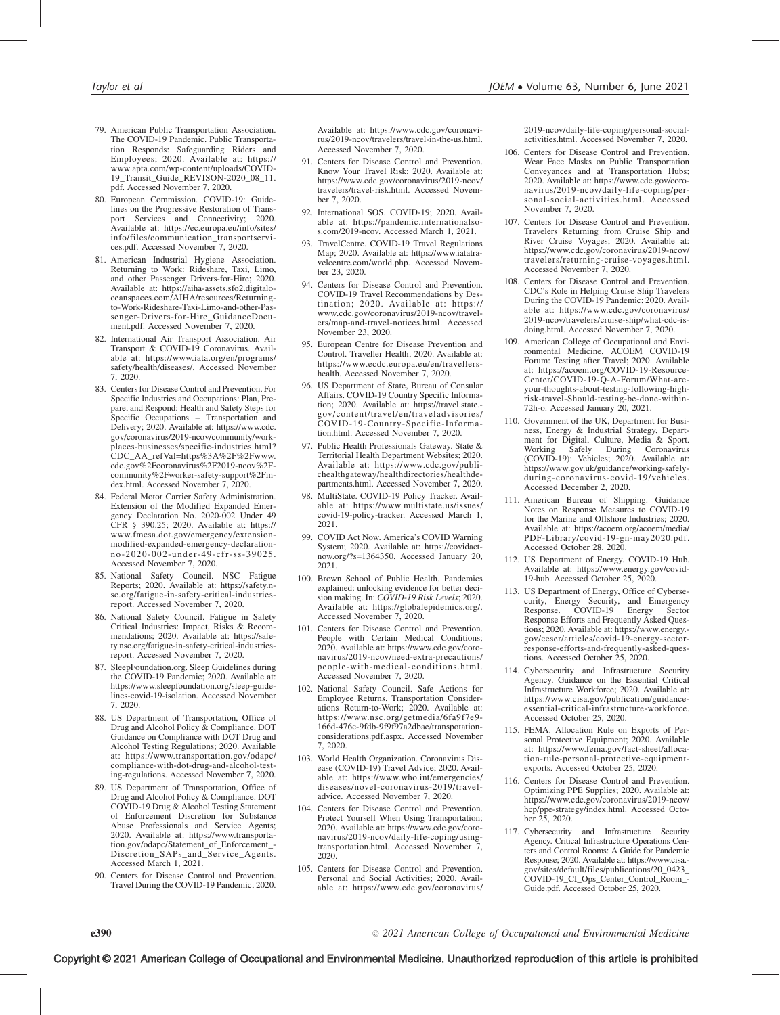- 79. American Public Transportation Association. The COVID-19 Pandemic. Public Transportation Responds: Safeguarding Riders and Employees; 2020. Available at: [https://](https://www.apta.com/wp-content/uploads/COVID-19_Transit_Guide_REVISON-2020_08_11.pdf) [www.apta.com/wp-content/uploads/COVID-](https://www.apta.com/wp-content/uploads/COVID-19_Transit_Guide_REVISON-2020_08_11.pdf)[19\\_Transit\\_Guide\\_REVISON-2020\\_08\\_11.](https://www.apta.com/wp-content/uploads/COVID-19_Transit_Guide_REVISON-2020_08_11.pdf) [pdf. Accessed November 7, 2020.](https://www.apta.com/wp-content/uploads/COVID-19_Transit_Guide_REVISON-2020_08_11.pdf)
- 80. European Commission. COVID-19: Guidelines on the Progressive Restoration of Transport Services and Connectivity; 2020. Available at: [https://ec.europa.eu/info/sites/](https://ec.europa.eu/info/sites/info/files/communication_transportservices.pdf) [info/files/communication\\_transportservi](https://ec.europa.eu/info/sites/info/files/communication_transportservices.pdf)[ces.pdf. Accessed November 7, 2020.](https://ec.europa.eu/info/sites/info/files/communication_transportservices.pdf)
- 81. American Industrial Hygiene Association. Returning to Work: Rideshare, Taxi, Limo, and other Passenger Drivers-for-Hire; 2020. Available at: [https://aiha-assets.sfo2.digitalo](https://aiha-assets.sfo2.digitaloceanspaces.com/AIHA/resources/Returning-to-Work-Rideshare-Taxi-Limo-and-other-Passenger-Drivers-for-Hire_GuidanceDocument.pdf)[ceanspaces.com/AIHA/resources/Returning](https://aiha-assets.sfo2.digitaloceanspaces.com/AIHA/resources/Returning-to-Work-Rideshare-Taxi-Limo-and-other-Passenger-Drivers-for-Hire_GuidanceDocument.pdf)[to-Work-Rideshare-Taxi-Limo-and-other-Pas](https://aiha-assets.sfo2.digitaloceanspaces.com/AIHA/resources/Returning-to-Work-Rideshare-Taxi-Limo-and-other-Passenger-Drivers-for-Hire_GuidanceDocument.pdf)[senger-Drivers-for-Hire\\_GuidanceDocu](https://aiha-assets.sfo2.digitaloceanspaces.com/AIHA/resources/Returning-to-Work-Rideshare-Taxi-Limo-and-other-Passenger-Drivers-for-Hire_GuidanceDocument.pdf)[ment.pdf. Accessed November 7, 2020.](https://aiha-assets.sfo2.digitaloceanspaces.com/AIHA/resources/Returning-to-Work-Rideshare-Taxi-Limo-and-other-Passenger-Drivers-for-Hire_GuidanceDocument.pdf)
- 82. International Air Transport Association. Air Transport & COVID-19 Coronavirus. Available at: [https://www.iata.org/en/programs/](https://www.iata.org/en/programs/safety/health/diseases/) [safety/health/diseases/. Accessed November](https://www.iata.org/en/programs/safety/health/diseases/) [7, 2020.](https://www.iata.org/en/programs/safety/health/diseases/)
- 83. Centers for Disease Control and Prevention. For Specific Industries and Occupations: Plan, Prepare, and Respond: Health and Safety Steps for Specific Occupations – Transportation and Delivery; 2020. Available at: [https://www.cdc.](https://www.cdc.gov/coronavirus/2019-ncov/community/workplaces-businesses/specific-industries.html?CDC_AA_refVal=https%3A%2F%2Fwww.cdc.gov%2Fcoronavirus%2F2019-ncov%2Fcommunity%2Fworker-safety-support%2Findex.html) [gov/coronavirus/2019-ncov/community/work](https://www.cdc.gov/coronavirus/2019-ncov/community/workplaces-businesses/specific-industries.html?CDC_AA_refVal=https%3A%2F%2Fwww.cdc.gov%2Fcoronavirus%2F2019-ncov%2Fcommunity%2Fworker-safety-support%2Findex.html)[places-businesses/specific-industries.html?](https://www.cdc.gov/coronavirus/2019-ncov/community/workplaces-businesses/specific-industries.html?CDC_AA_refVal=https%3A%2F%2Fwww.cdc.gov%2Fcoronavirus%2F2019-ncov%2Fcommunity%2Fworker-safety-support%2Findex.html) [CDC\\_AA\\_refVal=https%3A%2F%2Fwww.](https://www.cdc.gov/coronavirus/2019-ncov/community/workplaces-businesses/specific-industries.html?CDC_AA_refVal=https%3A%2F%2Fwww.cdc.gov%2Fcoronavirus%2F2019-ncov%2Fcommunity%2Fworker-safety-support%2Findex.html) [cdc.gov%2Fcoronavirus%2F2019-ncov%2F](https://www.cdc.gov/coronavirus/2019-ncov/community/workplaces-businesses/specific-industries.html?CDC_AA_refVal=https%3A%2F%2Fwww.cdc.gov%2Fcoronavirus%2F2019-ncov%2Fcommunity%2Fworker-safety-support%2Findex.html)[community%2Fworker-safety-support%2Fin](https://www.cdc.gov/coronavirus/2019-ncov/community/workplaces-businesses/specific-industries.html?CDC_AA_refVal=https%3A%2F%2Fwww.cdc.gov%2Fcoronavirus%2F2019-ncov%2Fcommunity%2Fworker-safety-support%2Findex.html)[dex.html. Accessed November 7, 2020.](https://www.cdc.gov/coronavirus/2019-ncov/community/workplaces-businesses/specific-industries.html?CDC_AA_refVal=https%3A%2F%2Fwww.cdc.gov%2Fcoronavirus%2F2019-ncov%2Fcommunity%2Fworker-safety-support%2Findex.html)
- 84. Federal Motor Carrier Safety Administration. Extension of the Modified Expanded Emergency Declaration No. 2020-002 Under 49 CFR § 390.25; 2020. Available at: [https://](https://www.fmcsa.dot.gov/emergency/extension-modified-expanded-emergency-declaration-no-2020-002-under-49-cfr-ss-39025) [www.fmcsa.dot.gov/emergency/extension](https://www.fmcsa.dot.gov/emergency/extension-modified-expanded-emergency-declaration-no-2020-002-under-49-cfr-ss-39025)[modified-expanded-emergency-declaration](https://www.fmcsa.dot.gov/emergency/extension-modified-expanded-emergency-declaration-no-2020-002-under-49-cfr-ss-39025)[no-2020-002-under-49-cfr-ss-39025.](https://www.fmcsa.dot.gov/emergency/extension-modified-expanded-emergency-declaration-no-2020-002-under-49-cfr-ss-39025) [Accessed November 7, 2020.](https://www.fmcsa.dot.gov/emergency/extension-modified-expanded-emergency-declaration-no-2020-002-under-49-cfr-ss-39025)
- 85. National Safety Council. NSC Fatigue Reports; 2020. Available at: [https://safety.n](https://safety.nsc.org/fatigue-in-safety-critical-industries-report)[sc.org/fatigue-in-safety-critical-industries](https://safety.nsc.org/fatigue-in-safety-critical-industries-report)[report. Accessed November 7, 2020.](https://safety.nsc.org/fatigue-in-safety-critical-industries-report)
- 86. National Safety Council. Fatigue in Safety Critical Industries: Impact, Risks & Recommendations; 2020. Available at: [https://safe](https://safety.nsc.org/fatigue-in-safety-critical-industries-report)[ty.nsc.org/fatigue-in-safety-critical-industries](https://safety.nsc.org/fatigue-in-safety-critical-industries-report)[report. Accessed November 7, 2020.](https://safety.nsc.org/fatigue-in-safety-critical-industries-report)
- 87. SleepFoundation.org. Sleep Guidelines during the COVID-19 Pandemic; 2020. Available at: [https://www.sleepfoundation.org/sleep-guide](https://www.sleepfoundation.org/sleep-guidelines-covid-19-isolation)[lines-covid-19-isolation. Accessed November](https://www.sleepfoundation.org/sleep-guidelines-covid-19-isolation) [7, 2020.](https://www.sleepfoundation.org/sleep-guidelines-covid-19-isolation)
- 88. US Department of Transportation, Office of Drug and Alcohol Policy & Compliance. DOT Guidance on Compliance with DOT Drug and Alcohol Testing Regulations; 2020. Available at: [https://www.transportation.gov/odapc/](https://www.transportation.gov/odapc/compliance-with-dot-drug-and-alcohol-testing-regulations) [compliance-with-dot-drug-and-alcohol-test](https://www.transportation.gov/odapc/compliance-with-dot-drug-and-alcohol-testing-regulations)[ing-regulations. Accessed November 7, 2020.](https://www.transportation.gov/odapc/compliance-with-dot-drug-and-alcohol-testing-regulations)
- 89. US Department of Transportation, Office of Drug and Alcohol Policy & Compliance. DOT COVID-19 Drug & Alcohol Testing Statement of Enforcement Discretion for Substance Abuse Professionals and Service Agents; 2020. Available at: [https://www.transporta](https://www.transportation.gov/odapc/Statement_of_Enforcement_Discretion_SAPs_and_Service_Agents)[tion.gov/odapc/Statement\\_of\\_Enforcement\\_-](https://www.transportation.gov/odapc/Statement_of_Enforcement_Discretion_SAPs_and_Service_Agents) [Discretion\\_SAPs\\_and\\_Service\\_Agents.](https://www.transportation.gov/odapc/Statement_of_Enforcement_Discretion_SAPs_and_Service_Agents) [Accessed March 1, 2021.](https://www.transportation.gov/odapc/Statement_of_Enforcement_Discretion_SAPs_and_Service_Agents)
- 90. Centers for Disease Control and Prevention. Travel During the COVID-19 Pandemic; 2020.

Available at: [https://www.cdc.gov/coronavi](https://www.cdc.gov/coronavirus/2019-ncov/travelers/travel-in-the-us.html)[rus/2019-ncov/travelers/travel-in-the-us.html.](https://www.cdc.gov/coronavirus/2019-ncov/travelers/travel-in-the-us.html) [Accessed November 7, 2020.](https://www.cdc.gov/coronavirus/2019-ncov/travelers/travel-in-the-us.html)

- 91. Centers for Disease Control and Prevention. Know Your Travel Risk; 2020. Available at: [https://www.cdc.gov/coronavirus/2019-ncov/](https://www.cdc.gov/coronavirus/2019-ncov/travelers/travel-risk.html) [travelers/travel-risk.html. Accessed Novem](https://www.cdc.gov/coronavirus/2019-ncov/travelers/travel-risk.html)[ber 7, 2020.](https://www.cdc.gov/coronavirus/2019-ncov/travelers/travel-risk.html)
- 92. International SOS. COVID-19; 2020. Available at: [https://pandemic.internationalso](https://pandemic.internationalsos.com/2019-ncov)[s.com/2019-ncov. Accessed March 1, 2021.](https://pandemic.internationalsos.com/2019-ncov)
- 93. TravelCentre. COVID-19 Travel Regulations Map; 2020. Available at: [https://www.iatatra](https://www.iatatravelcentre.com/world.php)[velcentre.com/world.php. Accessed Novem](https://www.iatatravelcentre.com/world.php)[ber 23, 2020.](https://www.iatatravelcentre.com/world.php)
- 94. Centers for Disease Control and Prevention. COVID-19 Travel Recommendations by Destination; 2020. Available at: [https://](https://www.cdc.gov/coronavirus/2019-ncov/travelers/map-and-travel-notices.html) [www.cdc.gov/coronavirus/2019-ncov/travel](https://www.cdc.gov/coronavirus/2019-ncov/travelers/map-and-travel-notices.html)[ers/map-and-travel-notices.html. Accessed](https://www.cdc.gov/coronavirus/2019-ncov/travelers/map-and-travel-notices.html) [November 23, 2020.](https://www.cdc.gov/coronavirus/2019-ncov/travelers/map-and-travel-notices.html)
- 95. European Centre for Disease Prevention and Control. Traveller Health; 2020. Available at: [https://www.ecdc.europa.eu/en/travellers](https://www.ecdc.europa.eu/en/travellers-health)[health. Accessed November 7, 2020.](https://www.ecdc.europa.eu/en/travellers-health)
- 96. US Department of State, Bureau of Consular Affairs. COVID-19 Country Specific Information; 2020. Available at: [https://travel.state.](https://travel.state.gov/content/travel/en/traveladvisories/COVID-19-Country-Specific-Information.html) [gov/content/travel/en/traveladvisories/](https://travel.state.gov/content/travel/en/traveladvisories/COVID-19-Country-Specific-Information.html) [COVID-19-Country-Specific-Informa](https://travel.state.gov/content/travel/en/traveladvisories/COVID-19-Country-Specific-Information.html)[tion.html. Accessed November 7, 2020.](https://travel.state.gov/content/travel/en/traveladvisories/COVID-19-Country-Specific-Information.html)
- 97. Public Health Professionals Gateway. State & Territorial Health Department Websites; 2020. Available at: [https://www.cdc.gov/publi](https://www.cdc.gov/publichealthgateway/healthdirectories/healthdepartments.html)[chealthgateway/healthdirectories/healthde](https://www.cdc.gov/publichealthgateway/healthdirectories/healthdepartments.html)[partments.html. Accessed November 7, 2020.](https://www.cdc.gov/publichealthgateway/healthdirectories/healthdepartments.html)
- 98. MultiState. COVID-19 Policy Tracker. Available at: [https://www.multistate.us/issues/](https://www.multistate.us/issues/covid-19-policy-tracker) [covid-19-policy-tracker. Accessed March 1,](https://www.multistate.us/issues/covid-19-policy-tracker) [2021.](https://www.multistate.us/issues/covid-19-policy-tracker)
- 99. COVID Act Now. America's COVID Warning System; 2020. Available at: [https://covidact](https://covidactnow.org/?s=1364350)[now.org/?s=1364350. Accessed January 20,](https://covidactnow.org/?s=1364350) 2021
- 100. Brown School of Public Health. Pandemics explained: unlocking evidence for better decision making. In: COVID-19 Risk Levels; 2020. Available at: [https://globalepidemics.org/.](https://globalepidemics.org/) Accessed November 7, 2020.
- 101. Centers for Disease Control and Prevention. People with Certain Medical Conditions; 2020. Available at: [https://www.cdc.gov/coro](https://www.cdc.gov/coronavirus/2019-ncov/need-extra-precautions/people-with-medical-conditions.html)[navirus/2019-ncov/need-extra-precautions/](https://www.cdc.gov/coronavirus/2019-ncov/need-extra-precautions/people-with-medical-conditions.html) [people-with-medical-conditions.html.](https://www.cdc.gov/coronavirus/2019-ncov/need-extra-precautions/people-with-medical-conditions.html) [Accessed November 7, 2020.](https://www.cdc.gov/coronavirus/2019-ncov/need-extra-precautions/people-with-medical-conditions.html)
- 102. National Safety Council. Safe Actions for Employee Returns. Transportation Considerations Return-to-Work; 2020. Available at: [https://www.nsc.org/getmedia/6fa9f7e9-](https://www.nsc.org/getmedia/6fa9f7e9-166d-476c-9fdb-9f9f97a2dbae/transpotation-considerations.pdf.aspx) [166d-476c-9fdb-9f9f97a2dbae/transpotation](https://www.nsc.org/getmedia/6fa9f7e9-166d-476c-9fdb-9f9f97a2dbae/transpotation-considerations.pdf.aspx)[considerations.pdf.aspx. Accessed November](https://www.nsc.org/getmedia/6fa9f7e9-166d-476c-9fdb-9f9f97a2dbae/transpotation-considerations.pdf.aspx) [7, 2020.](https://www.nsc.org/getmedia/6fa9f7e9-166d-476c-9fdb-9f9f97a2dbae/transpotation-considerations.pdf.aspx)
- 103. World Health Organization. Coronavirus Disease (COVID-19) Travel Advice; 2020. Available at: [https://www.who.int/emergencies/](https://www.who.int/emergencies/diseases/novel-coronavirus-2019/travel-advice) [diseases/novel-coronavirus-2019/travel](https://www.who.int/emergencies/diseases/novel-coronavirus-2019/travel-advice)[advice. Accessed November 7, 2020.](https://www.who.int/emergencies/diseases/novel-coronavirus-2019/travel-advice)
- 104. Centers for Disease Control and Prevention. Protect Yourself When Using Transportation; 2020. Available at: [https://www.cdc.gov/coro](https://www.cdc.gov/coronavirus/2019-ncov/daily-life-coping/using-transportation.html)[navirus/2019-ncov/daily-life-coping/using](https://www.cdc.gov/coronavirus/2019-ncov/daily-life-coping/using-transportation.html)[transportation.html. Accessed November 7,](https://www.cdc.gov/coronavirus/2019-ncov/daily-life-coping/using-transportation.html) [2020.](https://www.cdc.gov/coronavirus/2019-ncov/daily-life-coping/using-transportation.html)
- 105. Centers for Disease Control and Prevention. Personal and Social Activities; 2020. Available at: [https://www.cdc.gov/coronavirus/](https://www.cdc.gov/coronavirus/2019-ncov/daily-life-coping/personal-social-activities.html)

[2019-ncov/daily-life-coping/personal-social](https://www.cdc.gov/coronavirus/2019-ncov/daily-life-coping/personal-social-activities.html)[activities.html. Accessed November 7, 2020.](https://www.cdc.gov/coronavirus/2019-ncov/daily-life-coping/personal-social-activities.html)

- 106. Centers for Disease Control and Prevention. Wear Face Masks on Public Transportation Conveyances and at Transportation Hubs; 2020. Available at: [https://www.cdc.gov/coro](https://www.cdc.gov/coronavirus/2019-ncov/daily-life-coping/personal-social-activities.html)[navirus/2019-ncov/daily-life-coping/per](https://www.cdc.gov/coronavirus/2019-ncov/daily-life-coping/personal-social-activities.html)[sonal-social-activities.html. Accessed](https://www.cdc.gov/coronavirus/2019-ncov/daily-life-coping/personal-social-activities.html) [November 7, 2020.](https://www.cdc.gov/coronavirus/2019-ncov/daily-life-coping/personal-social-activities.html)
- 107. Centers for Disease Control and Prevention. Travelers Returning from Cruise Ship and River Cruise Voyages; 2020. Available at: [https://www.cdc.gov/coronavirus/2019-ncov/](https://www.cdc.gov/coronavirus/2019-ncov/travelers/returning-cruise-voyages.html) [travelers/returning-cruise-voyages.html.](https://www.cdc.gov/coronavirus/2019-ncov/travelers/returning-cruise-voyages.html) [Accessed November 7, 2020.](https://www.cdc.gov/coronavirus/2019-ncov/travelers/returning-cruise-voyages.html)
- 108. Centers for Disease Control and Prevention. CDC's Role in Helping Cruise Ship Travelers During the COVID-19 Pandemic; 2020. Available at: [https://www.cdc.gov/coronavirus/](https://www.cdc.gov/coronavirus/2019-ncov/travelers/cruise-ship/what-cdc-is-doing.html) [2019-ncov/travelers/cruise-ship/what-cdc-is](https://www.cdc.gov/coronavirus/2019-ncov/travelers/cruise-ship/what-cdc-is-doing.html)[doing.html. Accessed November 7, 2020.](https://www.cdc.gov/coronavirus/2019-ncov/travelers/cruise-ship/what-cdc-is-doing.html)
- 109. American College of Occupational and Environmental Medicine. ACOEM COVID-19 Forum: Testing after Travel; 2020. Available at: [https://acoem.org/COVID-19-Resource-](https://acoem.org/COVID-19-Resource-Center/COVID-19-Q-A-Forum/What-are-your-thoughts-about-testing-following-high-risk-travel-Should-testing-be-done-within-72h-o)[Center/COVID-19-Q-A-Forum/What-are](https://acoem.org/COVID-19-Resource-Center/COVID-19-Q-A-Forum/What-are-your-thoughts-about-testing-following-high-risk-travel-Should-testing-be-done-within-72h-o)[your-thoughts-about-testing-following-high](https://acoem.org/COVID-19-Resource-Center/COVID-19-Q-A-Forum/What-are-your-thoughts-about-testing-following-high-risk-travel-Should-testing-be-done-within-72h-o)[risk-travel-Should-testing-be-done-within-](https://acoem.org/COVID-19-Resource-Center/COVID-19-Q-A-Forum/What-are-your-thoughts-about-testing-following-high-risk-travel-Should-testing-be-done-within-72h-o)[72h-o. Accessed January 20, 2021.](https://acoem.org/COVID-19-Resource-Center/COVID-19-Q-A-Forum/What-are-your-thoughts-about-testing-following-high-risk-travel-Should-testing-be-done-within-72h-o)
- 110. Government of the UK, Department for Business, Energy & Industrial Strategy, Department for Digital, Culture, Media & Sport.<br>Working Safely During Coronavirus Coronavirus (COVID-19): Vehicles; 2020. Available at: [https://www.gov.uk/guidance/working-safely](https://www.gov.uk/guidance/working-safely-during-coronavirus-covid-19/vehicles)[during-coronavirus-covid-19/vehicles.](https://www.gov.uk/guidance/working-safely-during-coronavirus-covid-19/vehicles) [Accessed December 2, 2020.](https://www.gov.uk/guidance/working-safely-during-coronavirus-covid-19/vehicles)
- 111. American Bureau of Shipping. Guidance Notes on Response Measures to COVID-19 for the Marine and Offshore Industries; 2020. Available at: [https://acoem.org/acoem/media/](https://acoem.org/acoem/media/PDF-Library/covid-19-gn-may2020.pdf) [PDF-Library/covid-19-gn-may2020.pdf.](https://acoem.org/acoem/media/PDF-Library/covid-19-gn-may2020.pdf) [Accessed October 28, 2020.](https://acoem.org/acoem/media/PDF-Library/covid-19-gn-may2020.pdf)
- 112. US Department of Energy. COVID-19 Hub. Available at: [https://www.energy.gov/covid-](https://www.energy.gov/covid-19-hub)[19-hub. Accessed October 25, 2020.](https://www.energy.gov/covid-19-hub)
- 113. US Department of Energy, Office of Cybersecurity, Energy Security, and Emergency Response. COVID-19 Energy Sector Response Efforts and Frequently Asked Questions; 2020. Available at: [https://www.energy.](https://www.energy.gov/ceser/articles/covid-19-energy-sector-response-efforts-and-frequently-asked-questions) [gov/ceser/articles/covid-19-energy-sector](https://www.energy.gov/ceser/articles/covid-19-energy-sector-response-efforts-and-frequently-asked-questions)[response-efforts-and-frequently-asked-ques](https://www.energy.gov/ceser/articles/covid-19-energy-sector-response-efforts-and-frequently-asked-questions)[tions. Accessed October 25, 2020.](https://www.energy.gov/ceser/articles/covid-19-energy-sector-response-efforts-and-frequently-asked-questions)
- 114. Cybersecurity and Infrastructure Security Agency. Guidance on the Essential Critical Infrastructure Workforce; 2020. Available at: [https://www.cisa.gov/publication/guidance](https://www.cisa.gov/publication/guidance-essential-critical-infrastructure-workforce)[essential-critical-infrastructure-workforce.](https://www.cisa.gov/publication/guidance-essential-critical-infrastructure-workforce) [Accessed October 25, 2020.](https://www.cisa.gov/publication/guidance-essential-critical-infrastructure-workforce)
- 115. FEMA. Allocation Rule on Exports of Personal Protective Equipment; 2020. Available at: [https://www.fema.gov/fact-sheet/alloca](https://www.fema.gov/fact-sheet/allocation-rule-personal-protective-equipment-exports)[tion-rule-personal-protective-equipment](https://www.fema.gov/fact-sheet/allocation-rule-personal-protective-equipment-exports)[exports. Accessed October 25, 2020.](https://www.fema.gov/fact-sheet/allocation-rule-personal-protective-equipment-exports)
- 116. Centers for Disease Control and Prevention. Optimizing PPE Supplies; 2020. Available at: [https://www.cdc.gov/coronavirus/2019-ncov/](https://www.cdc.gov/coronavirus/2019-ncov/hcp/ppe-strategy/index.html) [hcp/ppe-strategy/index.html. Accessed Octo-](https://www.cdc.gov/coronavirus/2019-ncov/hcp/ppe-strategy/index.html)[ber 25, 2020.](https://www.cdc.gov/coronavirus/2019-ncov/hcp/ppe-strategy/index.html)
- 117. Cybersecurity and Infrastructure Security Agency. Critical Infrastructure Operations Centers and Control Rooms: A Guide for Pandemic Response; 2020. Available at: [https://www.cisa.](https://www.cisa.gov/sites/default/files/publications/20_0423_COVID-19_CI_Ops_Center_Control_Room_Guide.pdf) [gov/sites/default/files/publications/20\\_0423\\_](https://www.cisa.gov/sites/default/files/publications/20_0423_COVID-19_CI_Ops_Center_Control_Room_Guide.pdf) [COVID-19\\_CI\\_Ops\\_Center\\_Control\\_Room\\_-](https://www.cisa.gov/sites/default/files/publications/20_0423_COVID-19_CI_Ops_Center_Control_Room_Guide.pdf) [Guide.pdf. Accessed October 25, 2020.](https://www.cisa.gov/sites/default/files/publications/20_0423_COVID-19_CI_Ops_Center_Control_Room_Guide.pdf)